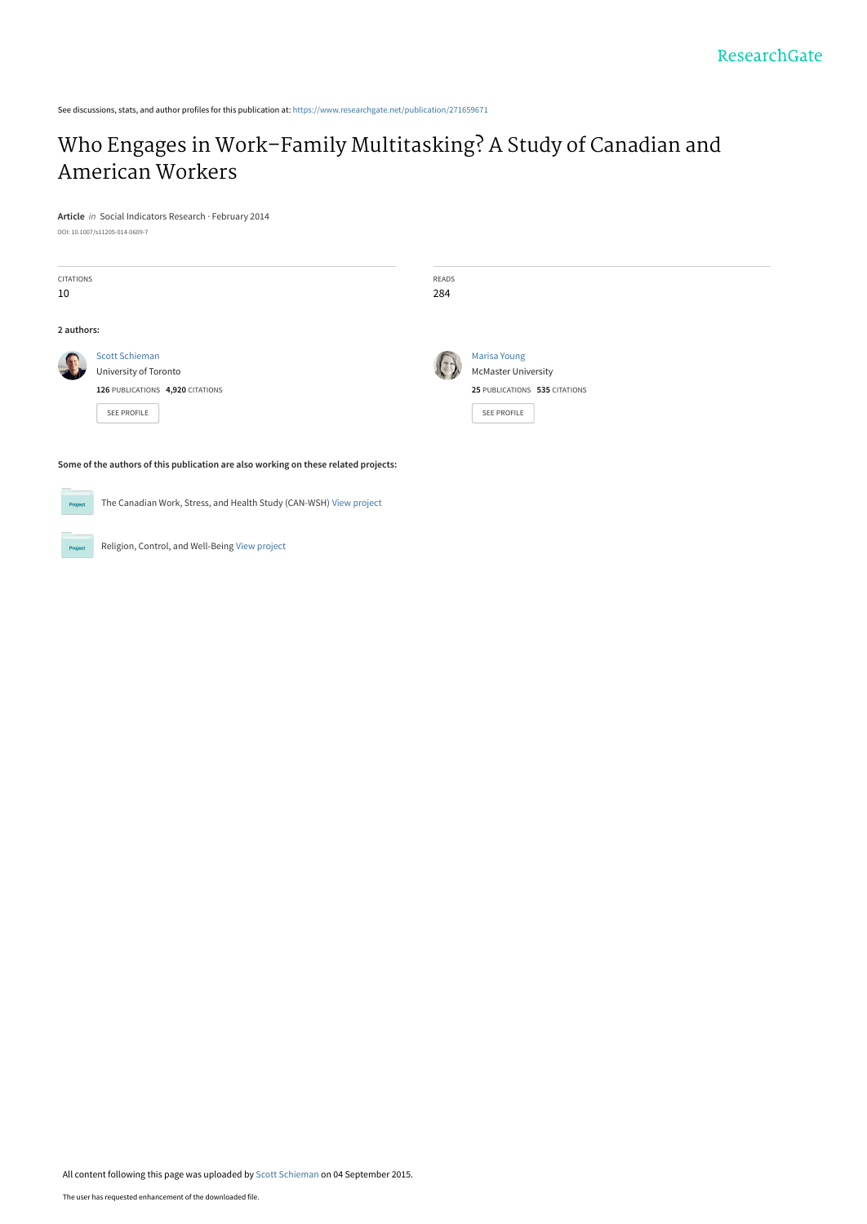See discussions, stats, and author profiles for this publication at: [https://www.researchgate.net/publication/271659671](https://www.researchgate.net/publication/271659671_Who_Engages_in_Work-Family_Multitasking_A_Study_of_Canadian_and_American_Workers?enrichId=rgreq-f3d1c43c6a6eceb4261ed4925f2c7462-XXX&enrichSource=Y292ZXJQYWdlOzI3MTY1OTY3MTtBUzoyNjk5NjA0MDQ1MzMyNDlAMTQ0MTM3NDk4NDg0MA%3D%3D&el=1_x_2&_esc=publicationCoverPdf)

# [Who Engages in Work–Family Multitasking? A Study of Canadian and](https://www.researchgate.net/publication/271659671_Who_Engages_in_Work-Family_Multitasking_A_Study_of_Canadian_and_American_Workers?enrichId=rgreq-f3d1c43c6a6eceb4261ed4925f2c7462-XXX&enrichSource=Y292ZXJQYWdlOzI3MTY1OTY3MTtBUzoyNjk5NjA0MDQ1MzMyNDlAMTQ0MTM3NDk4NDg0MA%3D%3D&el=1_x_3&_esc=publicationCoverPdf) American Workers

**Article** in Social Indicators Research · February 2014 DOI: 10.1007/s11205-014-0609-7

| <b>CITATIONS</b><br>10 |                                                                                                          | READS<br>284 |                                                                                                   |
|------------------------|----------------------------------------------------------------------------------------------------------|--------------|---------------------------------------------------------------------------------------------------|
| 2 authors:             |                                                                                                          |              |                                                                                                   |
|                        | <b>Scott Schieman</b><br>University of Toronto<br>126 PUBLICATIONS 4,920 CITATIONS<br><b>SEE PROFILE</b> |              | <b>Marisa Young</b><br><b>McMaster University</b><br>25 PUBLICATIONS 535 CITATIONS<br>SEE PROFILE |

**Some of the authors of this publication are also working on these related projects:**

The Canadian Work, Stress, and Health Study (CAN-WSH) [View project](https://www.researchgate.net/project/The-Canadian-Work-Stress-and-Health-Study-CAN-WSH?enrichId=rgreq-f3d1c43c6a6eceb4261ed4925f2c7462-XXX&enrichSource=Y292ZXJQYWdlOzI3MTY1OTY3MTtBUzoyNjk5NjA0MDQ1MzMyNDlAMTQ0MTM3NDk4NDg0MA%3D%3D&el=1_x_9&_esc=publicationCoverPdf)  $Prc$ 

Proj

Religion, Control, and Well-Being [View project](https://www.researchgate.net/project/Religion-Control-and-Well-Being?enrichId=rgreq-f3d1c43c6a6eceb4261ed4925f2c7462-XXX&enrichSource=Y292ZXJQYWdlOzI3MTY1OTY3MTtBUzoyNjk5NjA0MDQ1MzMyNDlAMTQ0MTM3NDk4NDg0MA%3D%3D&el=1_x_9&_esc=publicationCoverPdf)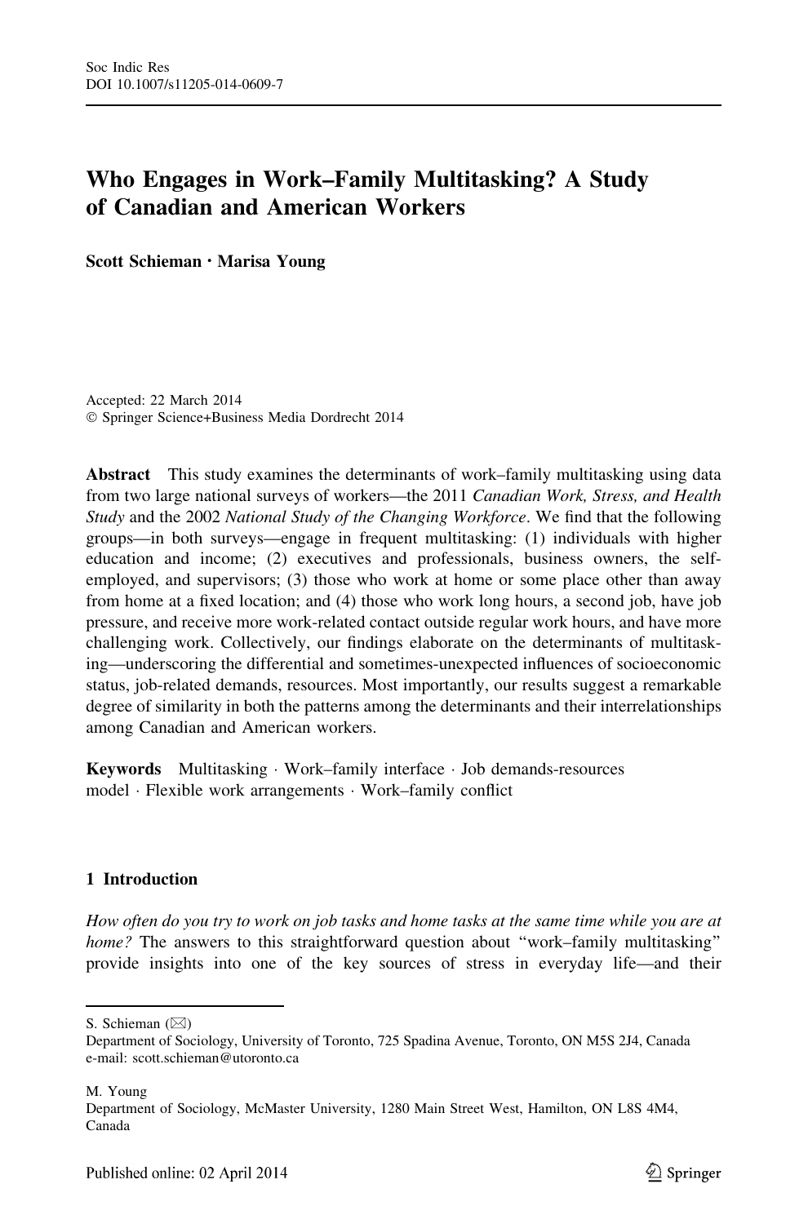## Who Engages in Work–Family Multitasking? A Study of Canadian and American Workers

Scott Schieman • Marisa Young

Accepted: 22 March 2014 ! Springer Science+Business Media Dordrecht 2014

Abstract This study examines the determinants of work–family multitasking using data from two large national surveys of workers—the 2011 Canadian Work, Stress, and Health Study and the 2002 National Study of the Changing Workforce. We find that the following groups—in both surveys—engage in frequent multitasking: (1) individuals with higher education and income; (2) executives and professionals, business owners, the selfemployed, and supervisors; (3) those who work at home or some place other than away from home at a fixed location; and (4) those who work long hours, a second job, have job pressure, and receive more work-related contact outside regular work hours, and have more challenging work. Collectively, our findings elaborate on the determinants of multitasking—underscoring the differential and sometimes-unexpected influences of socioeconomic status, job-related demands, resources. Most importantly, our results suggest a remarkable degree of similarity in both the patterns among the determinants and their interrelationships among Canadian and American workers.

Keywords Multitasking Work–family interface · Job demands-resources model · Flexible work arrangements · Work–family conflict

### 1 Introduction

How often do you try to work on job tasks and home tasks at the same time while you are at home? The answers to this straightforward question about "work–family multitasking" provide insights into one of the key sources of stress in everyday life—and their

S. Schieman  $(\boxtimes)$ 

Department of Sociology, University of Toronto, 725 Spadina Avenue, Toronto, ON M5S 2J4, Canada e-mail: scott.schieman@utoronto.ca

M. Young

Department of Sociology, McMaster University, 1280 Main Street West, Hamilton, ON L8S 4M4, Canada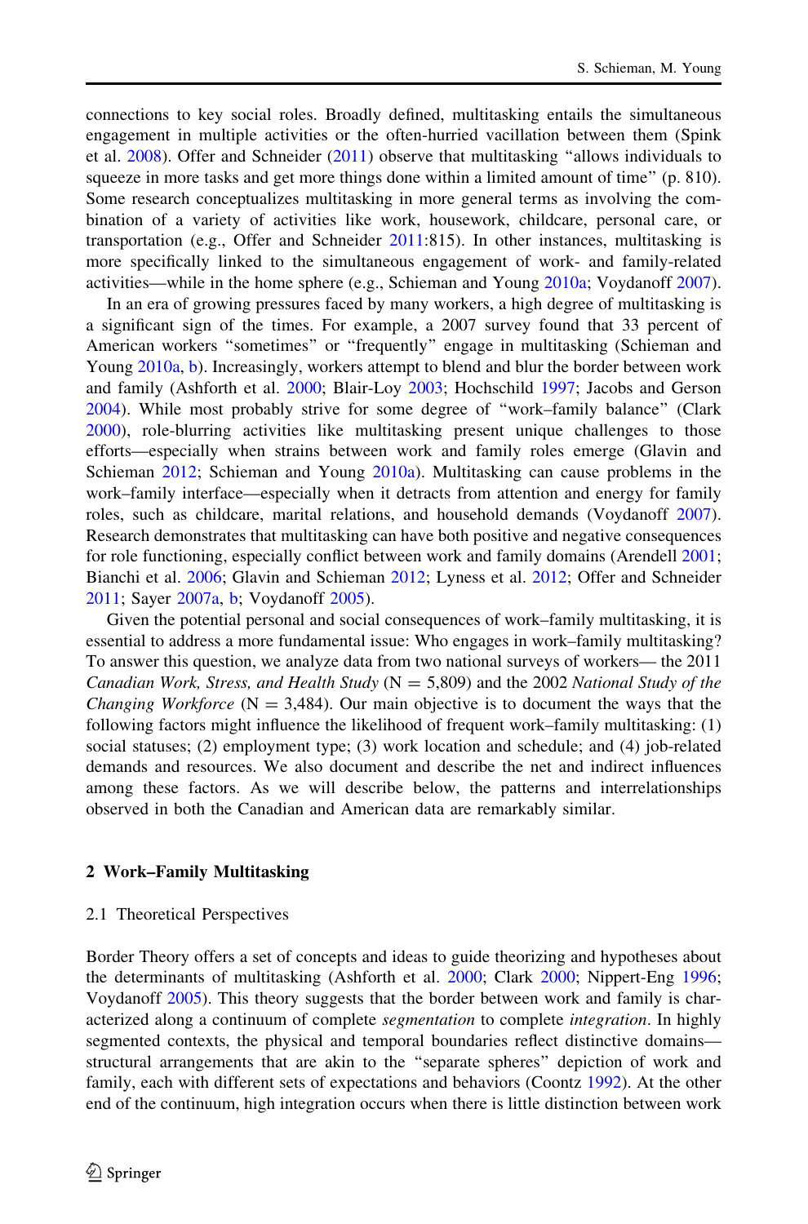connections to key social roles. Broadly defined, multitasking entails the simultaneous engagement in multiple activities or the often-hurried vacillation between them (Spink et al. [2008](#page-27-0)). Offer and Schneider [\(2011](#page-26-0)) observe that multitasking ''allows individuals to squeeze in more tasks and get more things done within a limited amount of time'' (p. 810). Some research conceptualizes multitasking in more general terms as involving the combination of a variety of activities like work, housework, childcare, personal care, or transportation (e.g., Offer and Schneider  $2011:815$  $2011:815$ ). In other instances, multitasking is more specifically linked to the simultaneous engagement of work- and family-related activities—while in the home sphere (e.g., Schieman and Young [2010a](#page-27-0); Voydanoff [2007](#page-27-0)).

In an era of growing pressures faced by many workers, a high degree of multitasking is a significant sign of the times. For example, a 2007 survey found that 33 percent of American workers ''sometimes'' or ''frequently'' engage in multitasking (Schieman and Young [2010a](#page-27-0), [b\)](#page-27-0). Increasingly, workers attempt to blend and blur the border between work and family (Ashforth et al. [2000;](#page-23-0) Blair-Loy [2003](#page-24-0); Hochschild [1997](#page-25-0); Jacobs and Gerson [2004\)](#page-25-0). While most probably strive for some degree of ''work–family balance'' (Clark [2000\)](#page-24-0), role-blurring activities like multitasking present unique challenges to those efforts—especially when strains between work and family roles emerge (Glavin and Schieman [2012](#page-24-0); Schieman and Young [2010a\)](#page-27-0). Multitasking can cause problems in the work–family interface—especially when it detracts from attention and energy for family roles, such as childcare, marital relations, and household demands (Voydanoff [2007](#page-27-0)). Research demonstrates that multitasking can have both positive and negative consequences for role functioning, especially conflict between work and family domains (Arendell [2001;](#page-23-0) Bianchi et al. [2006;](#page-24-0) Glavin and Schieman [2012;](#page-24-0) Lyness et al. [2012;](#page-25-0) Offer and Schneider [2011;](#page-26-0) Sayer [2007a](#page-26-0), [b;](#page-26-0) Voydanoff [2005\)](#page-27-0).

Given the potential personal and social consequences of work–family multitasking, it is essential to address a more fundamental issue: Who engages in work–family multitasking? To answer this question, we analyze data from two national surveys of workers— the 2011 Canadian Work, Stress, and Health Study ( $N = 5,809$ ) and the 2002 National Study of the *Changing Workforce* ( $N = 3,484$ ). Our main objective is to document the ways that the following factors might influence the likelihood of frequent work–family multitasking: (1) social statuses; (2) employment type; (3) work location and schedule; and (4) job-related demands and resources. We also document and describe the net and indirect influences among these factors. As we will describe below, the patterns and interrelationships observed in both the Canadian and American data are remarkably similar.

### 2 Work–Family Multitasking

#### 2.1 Theoretical Perspectives

Border Theory offers a set of concepts and ideas to guide theorizing and hypotheses about the determinants of multitasking (Ashforth et al. [2000](#page-23-0); Clark [2000](#page-24-0); Nippert-Eng [1996;](#page-26-0) Voydanoff [2005\)](#page-27-0). This theory suggests that the border between work and family is characterized along a continuum of complete segmentation to complete integration. In highly segmented contexts, the physical and temporal boundaries reflect distinctive domains structural arrangements that are akin to the ''separate spheres'' depiction of work and family, each with different sets of expectations and behaviors (Coontz [1992](#page-24-0)). At the other end of the continuum, high integration occurs when there is little distinction between work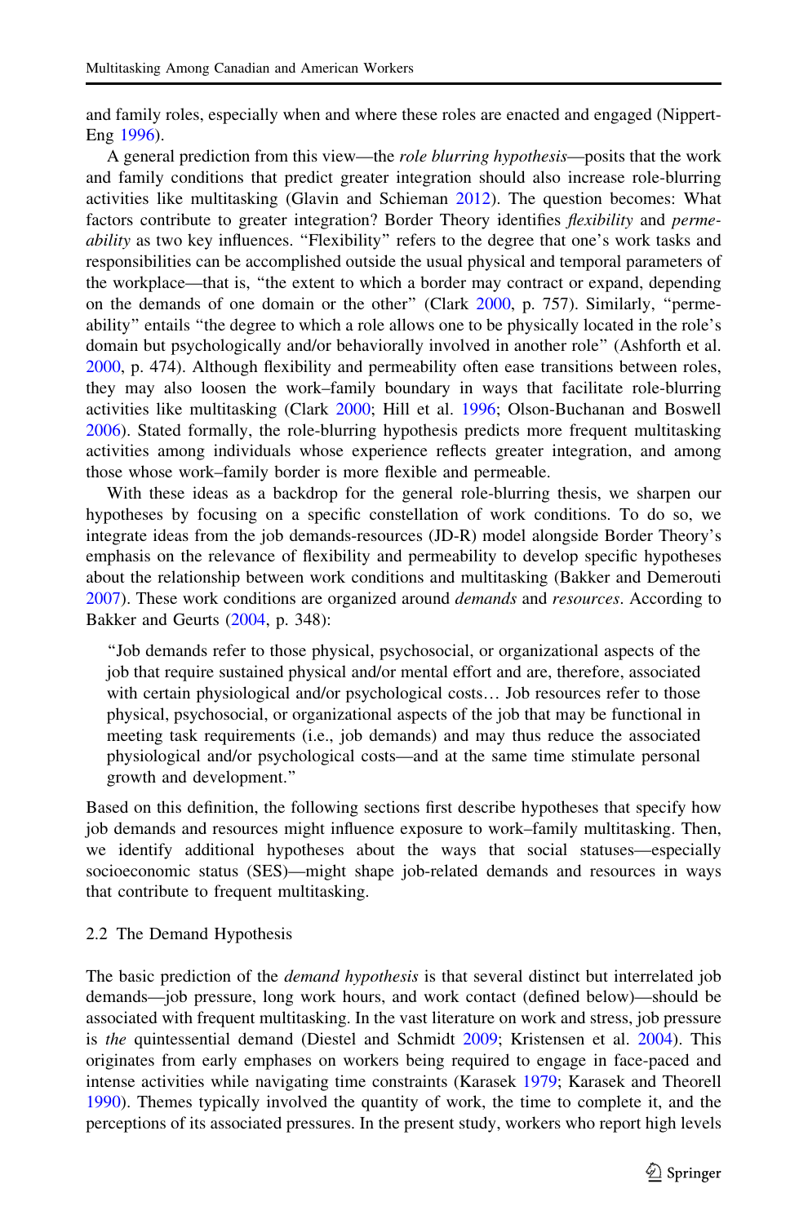and family roles, especially when and where these roles are enacted and engaged (Nippert-Eng [1996](#page-26-0)).

A general prediction from this view—the *role blurring hypothesis*—posits that the work and family conditions that predict greater integration should also increase role-blurring activities like multitasking (Glavin and Schieman [2012](#page-24-0)). The question becomes: What factors contribute to greater integration? Border Theory identifies *flexibility* and *perme*ability as two key influences. "Flexibility" refers to the degree that one's work tasks and responsibilities can be accomplished outside the usual physical and temporal parameters of the workplace—that is, ''the extent to which a border may contract or expand, depending on the demands of one domain or the other'' (Clark [2000,](#page-24-0) p. 757). Similarly, ''permeability'' entails ''the degree to which a role allows one to be physically located in the role's domain but psychologically and/or behaviorally involved in another role'' (Ashforth et al. [2000,](#page-23-0) p. 474). Although flexibility and permeability often ease transitions between roles, they may also loosen the work–family boundary in ways that facilitate role-blurring activities like multitasking (Clark [2000;](#page-24-0) Hill et al. [1996;](#page-25-0) Olson-Buchanan and Boswell [2006\)](#page-26-0). Stated formally, the role-blurring hypothesis predicts more frequent multitasking activities among individuals whose experience reflects greater integration, and among those whose work–family border is more flexible and permeable.

With these ideas as a backdrop for the general role-blurring thesis, we sharpen our hypotheses by focusing on a specific constellation of work conditions. To do so, we integrate ideas from the job demands-resources (JD-R) model alongside Border Theory's emphasis on the relevance of flexibility and permeability to develop specific hypotheses about the relationship between work conditions and multitasking (Bakker and Demerouti [2007\)](#page-23-0). These work conditions are organized around demands and resources. According to Bakker and Geurts ([2004,](#page-23-0) p. 348):

''Job demands refer to those physical, psychosocial, or organizational aspects of the job that require sustained physical and/or mental effort and are, therefore, associated with certain physiological and/or psychological costs… Job resources refer to those physical, psychosocial, or organizational aspects of the job that may be functional in meeting task requirements (i.e., job demands) and may thus reduce the associated physiological and/or psychological costs—and at the same time stimulate personal growth and development.''

Based on this definition, the following sections first describe hypotheses that specify how job demands and resources might influence exposure to work–family multitasking. Then, we identify additional hypotheses about the ways that social statuses—especially socioeconomic status (SES)—might shape job-related demands and resources in ways that contribute to frequent multitasking.

#### 2.2 The Demand Hypothesis

The basic prediction of the *demand hypothesis* is that several distinct but interrelated job demands—job pressure, long work hours, and work contact (defined below)—should be associated with frequent multitasking. In the vast literature on work and stress, job pressure is the quintessential demand (Diestel and Schmidt [2009;](#page-24-0) Kristensen et al. [2004](#page-25-0)). This originates from early emphases on workers being required to engage in face-paced and intense activities while navigating time constraints (Karasek [1979](#page-25-0); Karasek and Theorell [1990\)](#page-25-0). Themes typically involved the quantity of work, the time to complete it, and the perceptions of its associated pressures. In the present study, workers who report high levels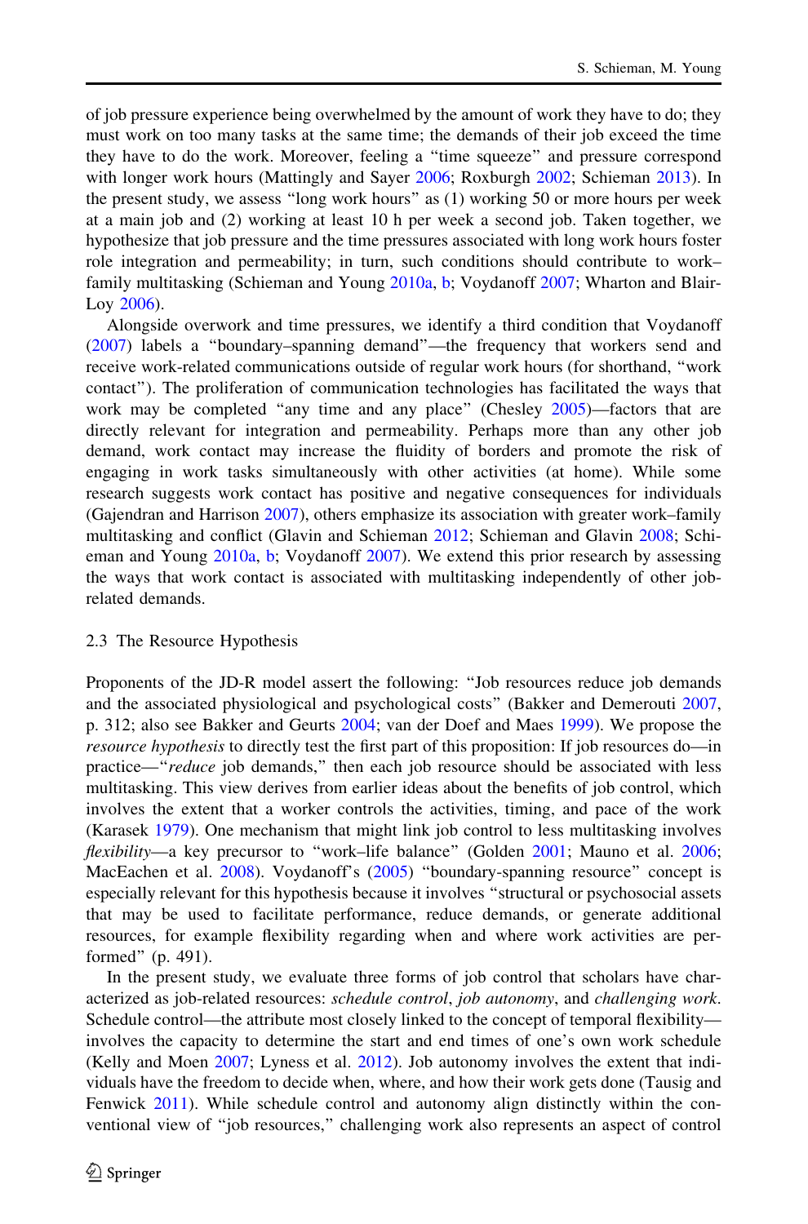of job pressure experience being overwhelmed by the amount of work they have to do; they must work on too many tasks at the same time; the demands of their job exceed the time they have to do the work. Moreover, feeling a ''time squeeze'' and pressure correspond with longer work hours (Mattingly and Sayer [2006](#page-25-0); Roxburgh [2002;](#page-26-0) Schieman [2013](#page-26-0)). In the present study, we assess ''long work hours'' as (1) working 50 or more hours per week at a main job and (2) working at least 10 h per week a second job. Taken together, we hypothesize that job pressure and the time pressures associated with long work hours foster role integration and permeability; in turn, such conditions should contribute to work– family multitasking (Schieman and Young [2010a](#page-27-0), [b](#page-27-0); Voydanoff [2007](#page-27-0); Wharton and Blair-Loy [2006](#page-27-0)).

Alongside overwork and time pressures, we identify a third condition that Voydanoff ([2007\)](#page-27-0) labels a ''boundary–spanning demand''—the frequency that workers send and receive work-related communications outside of regular work hours (for shorthand, ''work contact''). The proliferation of communication technologies has facilitated the ways that work may be completed "any time and any place" (Chesley [2005\)](#page-24-0)—factors that are directly relevant for integration and permeability. Perhaps more than any other job demand, work contact may increase the fluidity of borders and promote the risk of engaging in work tasks simultaneously with other activities (at home). While some research suggests work contact has positive and negative consequences for individuals (Gajendran and Harrison [2007\)](#page-24-0), others emphasize its association with greater work–family multitasking and conflict (Glavin and Schieman [2012](#page-24-0); Schieman and Glavin [2008;](#page-26-0) Schieman and Young [2010a](#page-27-0), [b](#page-27-0); Voydanoff [2007](#page-27-0)). We extend this prior research by assessing the ways that work contact is associated with multitasking independently of other jobrelated demands.

#### 2.3 The Resource Hypothesis

Proponents of the JD-R model assert the following: ''Job resources reduce job demands and the associated physiological and psychological costs'' (Bakker and Demerouti [2007](#page-23-0), p. 312; also see Bakker and Geurts [2004;](#page-23-0) van der Doef and Maes [1999](#page-27-0)). We propose the resource hypothesis to directly test the first part of this proposition: If job resources do—in practice—"reduce job demands," then each job resource should be associated with less multitasking. This view derives from earlier ideas about the benefits of job control, which involves the extent that a worker controls the activities, timing, and pace of the work (Karasek [1979\)](#page-25-0). One mechanism that might link job control to less multitasking involves flexibility—a key precursor to "work–life balance" (Golden [2001;](#page-24-0) Mauno et al. [2006;](#page-25-0) MacEachen et al. [2008\)](#page-25-0). Voydanoff's [\(2005\)](#page-27-0) ''boundary-spanning resource'' concept is especially relevant for this hypothesis because it involves ''structural or psychosocial assets that may be used to facilitate performance, reduce demands, or generate additional resources, for example flexibility regarding when and where work activities are performed'' (p. 491).

In the present study, we evaluate three forms of job control that scholars have characterized as job-related resources: schedule control, job autonomy, and challenging work. Schedule control—the attribute most closely linked to the concept of temporal flexibility involves the capacity to determine the start and end times of one's own work schedule (Kelly and Moen [2007;](#page-25-0) Lyness et al. [2012\)](#page-25-0). Job autonomy involves the extent that individuals have the freedom to decide when, where, and how their work gets done (Tausig and Fenwick [2011\)](#page-27-0). While schedule control and autonomy align distinctly within the conventional view of ''job resources,'' challenging work also represents an aspect of control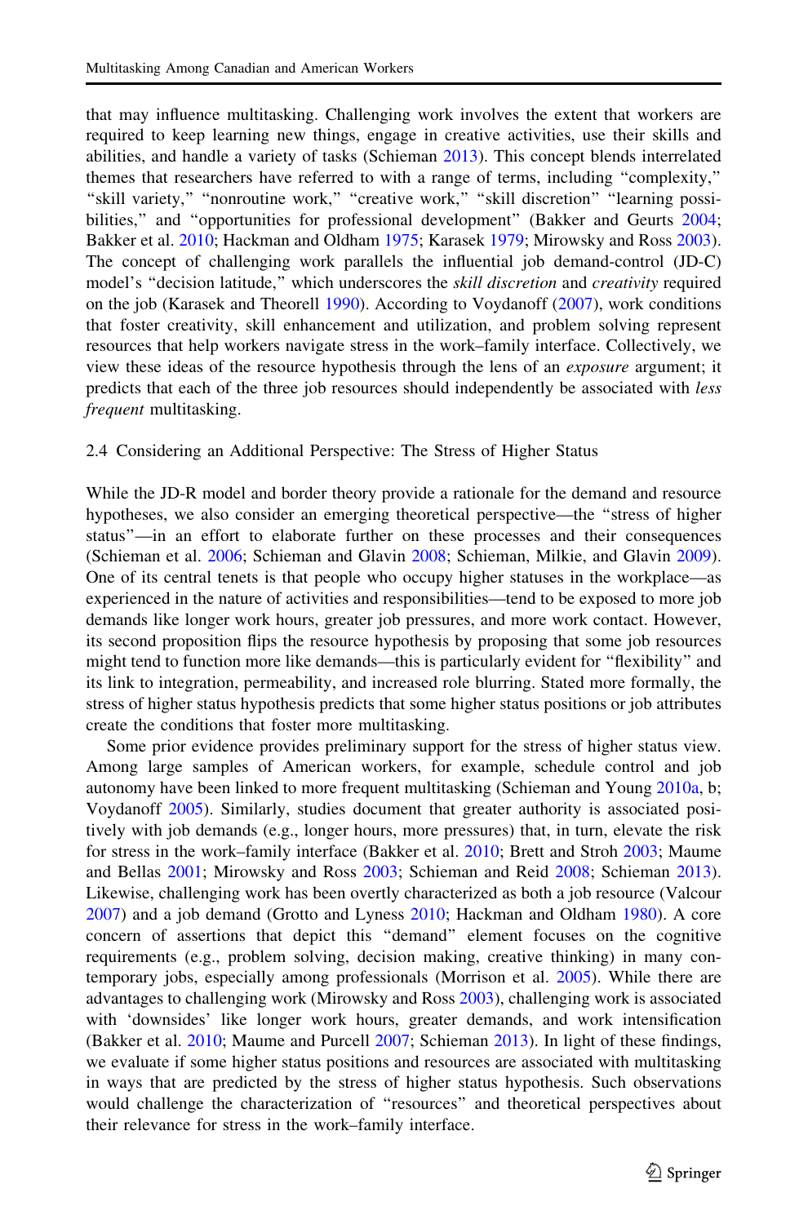that may influence multitasking. Challenging work involves the extent that workers are required to keep learning new things, engage in creative activities, use their skills and abilities, and handle a variety of tasks (Schieman [2013](#page-26-0)). This concept blends interrelated themes that researchers have referred to with a range of terms, including ''complexity,'' "skill variety," "nonroutine work," "creative work," "skill discretion" "learning possi-bilities," and "opportunities for professional development" (Bakker and Geurts [2004;](#page-23-0) Bakker et al. [2010](#page-23-0); Hackman and Oldham [1975;](#page-25-0) Karasek [1979](#page-25-0); Mirowsky and Ross [2003](#page-26-0)). The concept of challenging work parallels the influential job demand-control (JD-C) model's "decision latitude," which underscores the *skill discretion* and *creativity* required on the job (Karasek and Theorell [1990\)](#page-25-0). According to Voydanoff ([2007\)](#page-27-0), work conditions that foster creativity, skill enhancement and utilization, and problem solving represent resources that help workers navigate stress in the work–family interface. Collectively, we view these ideas of the resource hypothesis through the lens of an exposure argument; it predicts that each of the three job resources should independently be associated with less frequent multitasking.

#### 2.4 Considering an Additional Perspective: The Stress of Higher Status

While the JD-R model and border theory provide a rationale for the demand and resource hypotheses, we also consider an emerging theoretical perspective—the ''stress of higher status''—in an effort to elaborate further on these processes and their consequences (Schieman et al. [2006;](#page-26-0) Schieman and Glavin [2008;](#page-26-0) Schieman, Milkie, and Glavin [2009](#page-26-0)). One of its central tenets is that people who occupy higher statuses in the workplace—as experienced in the nature of activities and responsibilities—tend to be exposed to more job demands like longer work hours, greater job pressures, and more work contact. However, its second proposition flips the resource hypothesis by proposing that some job resources might tend to function more like demands—this is particularly evident for ''flexibility'' and its link to integration, permeability, and increased role blurring. Stated more formally, the stress of higher status hypothesis predicts that some higher status positions or job attributes create the conditions that foster more multitasking.

Some prior evidence provides preliminary support for the stress of higher status view. Among large samples of American workers, for example, schedule control and job autonomy have been linked to more frequent multitasking (Schieman and Young [2010a](#page-27-0), b; Voydanoff [2005\)](#page-27-0). Similarly, studies document that greater authority is associated positively with job demands (e.g., longer hours, more pressures) that, in turn, elevate the risk for stress in the work–family interface (Bakker et al. [2010;](#page-23-0) Brett and Stroh [2003](#page-24-0); Maume and Bellas [2001](#page-25-0); Mirowsky and Ross [2003;](#page-26-0) Schieman and Reid [2008](#page-26-0); Schieman [2013](#page-26-0)). Likewise, challenging work has been overtly characterized as both a job resource (Valcour [2007\)](#page-27-0) and a job demand (Grotto and Lyness [2010](#page-25-0); Hackman and Oldham [1980](#page-25-0)). A core concern of assertions that depict this ''demand'' element focuses on the cognitive requirements (e.g., problem solving, decision making, creative thinking) in many contemporary jobs, especially among professionals (Morrison et al. [2005\)](#page-26-0). While there are advantages to challenging work (Mirowsky and Ross [2003\)](#page-26-0), challenging work is associated with 'downsides' like longer work hours, greater demands, and work intensification (Bakker et al. [2010;](#page-23-0) Maume and Purcell [2007](#page-25-0); Schieman [2013\)](#page-26-0). In light of these findings, we evaluate if some higher status positions and resources are associated with multitasking in ways that are predicted by the stress of higher status hypothesis. Such observations would challenge the characterization of ''resources'' and theoretical perspectives about their relevance for stress in the work–family interface.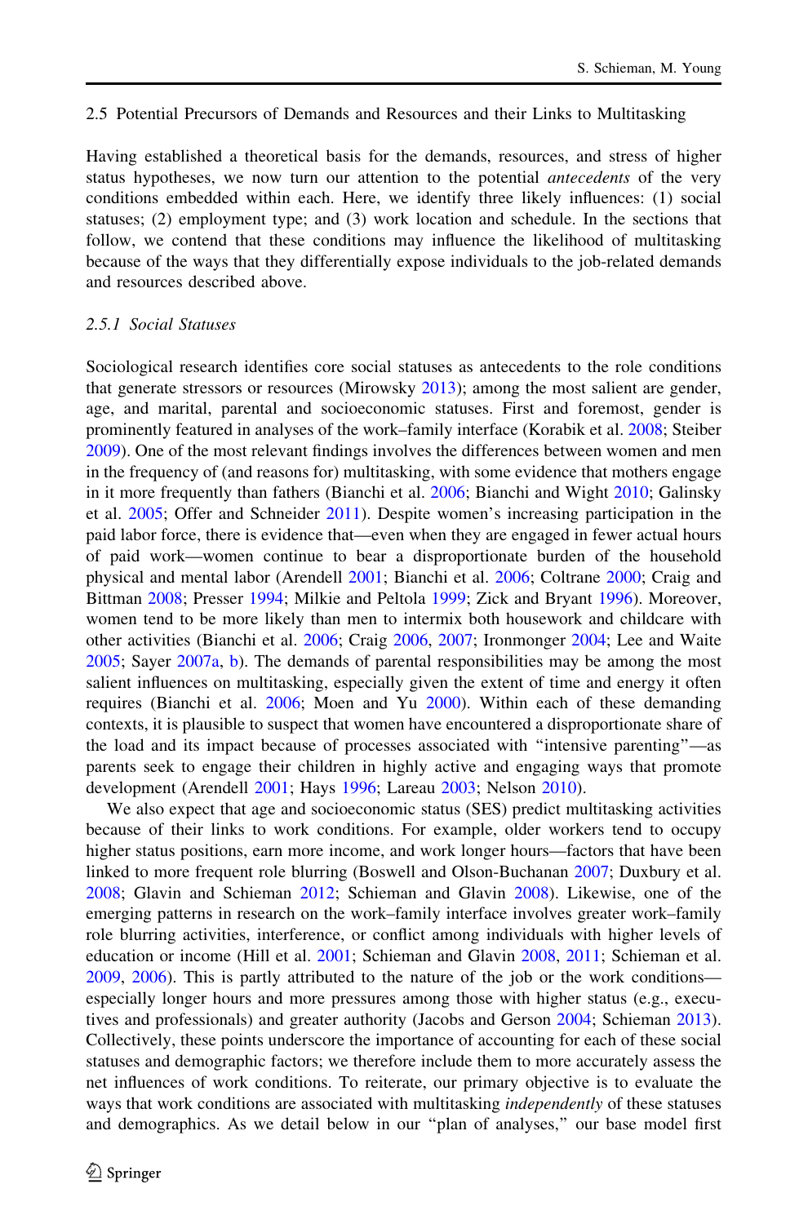#### 2.5 Potential Precursors of Demands and Resources and their Links to Multitasking

Having established a theoretical basis for the demands, resources, and stress of higher status hypotheses, we now turn our attention to the potential antecedents of the very conditions embedded within each. Here, we identify three likely influences: (1) social statuses; (2) employment type; and (3) work location and schedule. In the sections that follow, we contend that these conditions may influence the likelihood of multitasking because of the ways that they differentially expose individuals to the job-related demands and resources described above.

### 2.5.1 Social Statuses

Sociological research identifies core social statuses as antecedents to the role conditions that generate stressors or resources (Mirowsky [2013](#page-26-0)); among the most salient are gender, age, and marital, parental and socioeconomic statuses. First and foremost, gender is prominently featured in analyses of the work–family interface (Korabik et al. [2008;](#page-25-0) Steiber [2009\)](#page-27-0). One of the most relevant findings involves the differences between women and men in the frequency of (and reasons for) multitasking, with some evidence that mothers engage in it more frequently than fathers (Bianchi et al. [2006](#page-24-0); Bianchi and Wight [2010;](#page-24-0) Galinsky et al. [2005;](#page-24-0) Offer and Schneider [2011](#page-26-0)). Despite women's increasing participation in the paid labor force, there is evidence that—even when they are engaged in fewer actual hours of paid work—women continue to bear a disproportionate burden of the household physical and mental labor (Arendell [2001](#page-23-0); Bianchi et al. [2006](#page-24-0); Coltrane [2000;](#page-24-0) Craig and Bittman [2008](#page-24-0); Presser [1994](#page-26-0); Milkie and Peltola [1999;](#page-26-0) Zick and Bryant [1996](#page-27-0)). Moreover, women tend to be more likely than men to intermix both housework and childcare with other activities (Bianchi et al. [2006](#page-24-0); Craig [2006,](#page-24-0) [2007](#page-24-0); Ironmonger [2004;](#page-25-0) Lee and Waite [2005;](#page-25-0) Sayer [2007a](#page-26-0), [b\)](#page-26-0). The demands of parental responsibilities may be among the most salient influences on multitasking, especially given the extent of time and energy it often requires (Bianchi et al. [2006](#page-24-0); Moen and Yu [2000\)](#page-26-0). Within each of these demanding contexts, it is plausible to suspect that women have encountered a disproportionate share of the load and its impact because of processes associated with ''intensive parenting''—as parents seek to engage their children in highly active and engaging ways that promote development (Arendell [2001](#page-23-0); Hays [1996;](#page-25-0) Lareau [2003](#page-25-0); Nelson [2010\)](#page-26-0).

We also expect that age and socioeconomic status (SES) predict multitasking activities because of their links to work conditions. For example, older workers tend to occupy higher status positions, earn more income, and work longer hours—factors that have been linked to more frequent role blurring (Boswell and Olson-Buchanan [2007](#page-24-0); Duxbury et al. [2008;](#page-24-0) Glavin and Schieman [2012](#page-24-0); Schieman and Glavin [2008\)](#page-26-0). Likewise, one of the emerging patterns in research on the work–family interface involves greater work–family role blurring activities, interference, or conflict among individuals with higher levels of education or income (Hill et al. [2001](#page-25-0); Schieman and Glavin [2008,](#page-26-0) [2011;](#page-26-0) Schieman et al. [2009,](#page-26-0) [2006\)](#page-26-0). This is partly attributed to the nature of the job or the work conditions especially longer hours and more pressures among those with higher status (e.g., executives and professionals) and greater authority (Jacobs and Gerson [2004;](#page-25-0) Schieman [2013](#page-26-0)). Collectively, these points underscore the importance of accounting for each of these social statuses and demographic factors; we therefore include them to more accurately assess the net influences of work conditions. To reiterate, our primary objective is to evaluate the ways that work conditions are associated with multitasking *independently* of these statuses and demographics. As we detail below in our ''plan of analyses,'' our base model first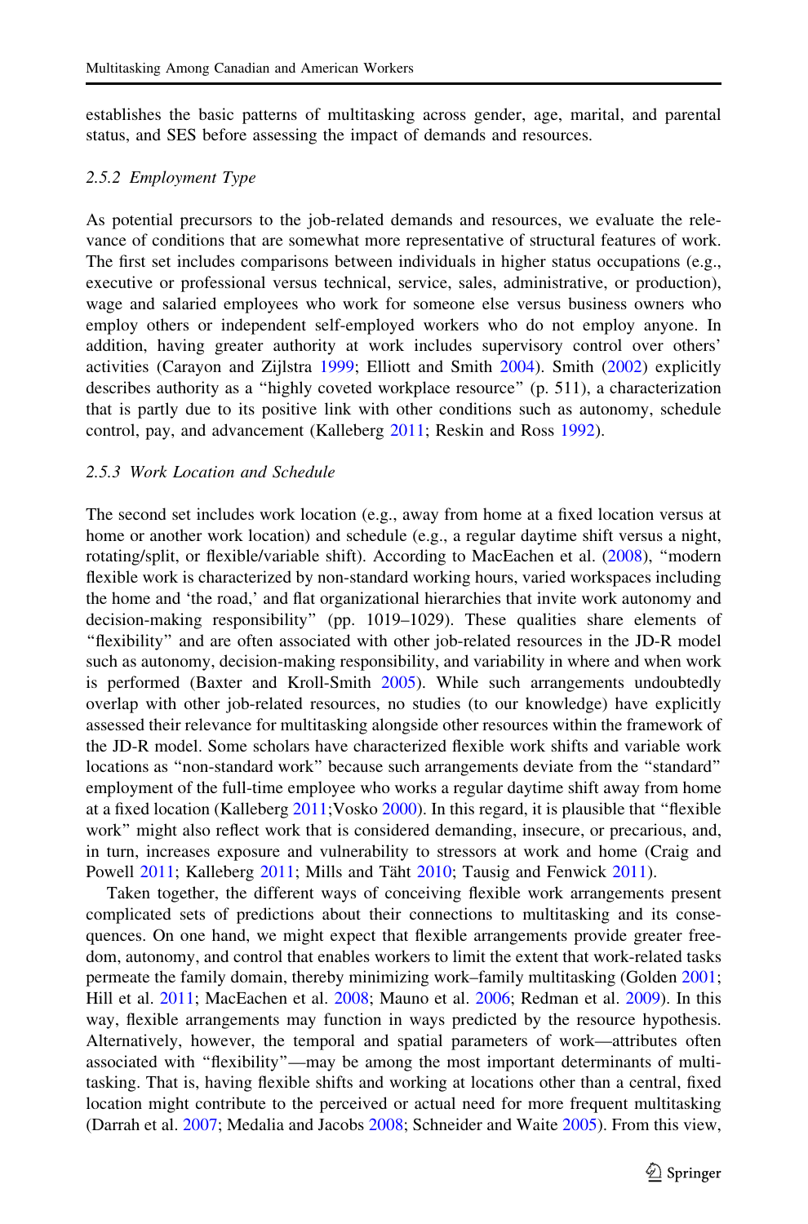establishes the basic patterns of multitasking across gender, age, marital, and parental status, and SES before assessing the impact of demands and resources.

### 2.5.2 Employment Type

As potential precursors to the job-related demands and resources, we evaluate the relevance of conditions that are somewhat more representative of structural features of work. The first set includes comparisons between individuals in higher status occupations (e.g., executive or professional versus technical, service, sales, administrative, or production), wage and salaried employees who work for someone else versus business owners who employ others or independent self-employed workers who do not employ anyone. In addition, having greater authority at work includes supervisory control over others' activities (Carayon and Zijlstra [1999;](#page-24-0) Elliott and Smith [2004](#page-24-0)). Smith [\(2002](#page-27-0)) explicitly describes authority as a ''highly coveted workplace resource'' (p. 511), a characterization that is partly due to its positive link with other conditions such as autonomy, schedule control, pay, and advancement (Kalleberg [2011](#page-25-0); Reskin and Ross [1992\)](#page-26-0).

### 2.5.3 Work Location and Schedule

The second set includes work location (e.g., away from home at a fixed location versus at home or another work location) and schedule (e.g., a regular daytime shift versus a night, rotating/split, or flexible/variable shift). According to MacEachen et al. ([2008\)](#page-25-0), "modern flexible work is characterized by non-standard working hours, varied workspaces including the home and 'the road,' and flat organizational hierarchies that invite work autonomy and decision-making responsibility'' (pp. 1019–1029). These qualities share elements of ''flexibility'' and are often associated with other job-related resources in the JD-R model such as autonomy, decision-making responsibility, and variability in where and when work is performed (Baxter and Kroll-Smith [2005](#page-24-0)). While such arrangements undoubtedly overlap with other job-related resources, no studies (to our knowledge) have explicitly assessed their relevance for multitasking alongside other resources within the framework of the JD-R model. Some scholars have characterized flexible work shifts and variable work locations as "non-standard work" because such arrangements deviate from the "standard" employment of the full-time employee who works a regular daytime shift away from home at a fixed location (Kalleberg [2011](#page-25-0);Vosko [2000\)](#page-27-0). In this regard, it is plausible that ''flexible work'' might also reflect work that is considered demanding, insecure, or precarious, and, in turn, increases exposure and vulnerability to stressors at work and home (Craig and Powell [2011](#page-27-0); Kalleberg 2011; Mills and Täht [2010;](#page-26-0) Tausig and Fenwick 2011).

Taken together, the different ways of conceiving flexible work arrangements present complicated sets of predictions about their connections to multitasking and its consequences. On one hand, we might expect that flexible arrangements provide greater freedom, autonomy, and control that enables workers to limit the extent that work-related tasks permeate the family domain, thereby minimizing work–family multitasking (Golden [2001;](#page-24-0) Hill et al. [2011;](#page-25-0) MacEachen et al. [2008;](#page-25-0) Mauno et al. [2006;](#page-25-0) Redman et al. [2009](#page-26-0)). In this way, flexible arrangements may function in ways predicted by the resource hypothesis. Alternatively, however, the temporal and spatial parameters of work—attributes often associated with ''flexibility''—may be among the most important determinants of multitasking. That is, having flexible shifts and working at locations other than a central, fixed location might contribute to the perceived or actual need for more frequent multitasking (Darrah et al. [2007](#page-24-0); Medalia and Jacobs [2008;](#page-26-0) Schneider and Waite [2005\)](#page-27-0). From this view,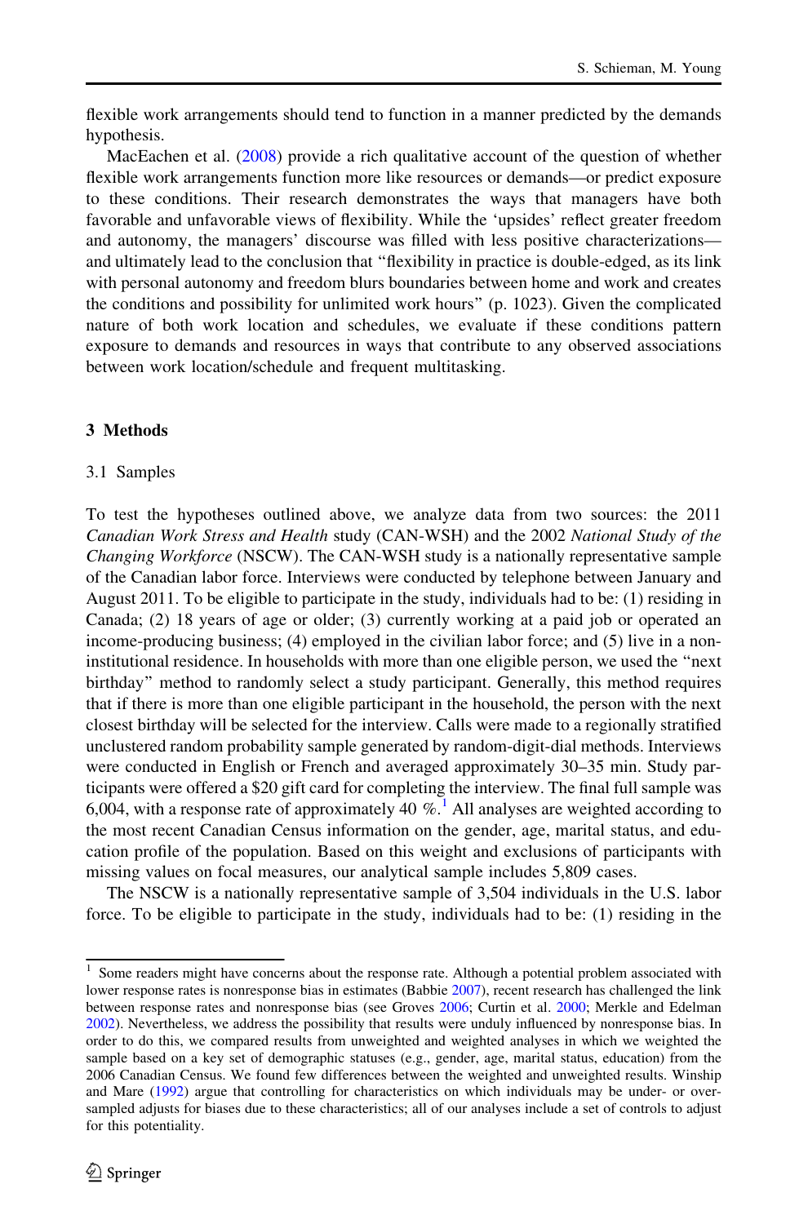flexible work arrangements should tend to function in a manner predicted by the demands hypothesis.

MacEachen et al. ([2008\)](#page-25-0) provide a rich qualitative account of the question of whether flexible work arrangements function more like resources or demands—or predict exposure to these conditions. Their research demonstrates the ways that managers have both favorable and unfavorable views of flexibility. While the 'upsides' reflect greater freedom and autonomy, the managers' discourse was filled with less positive characterizations and ultimately lead to the conclusion that ''flexibility in practice is double-edged, as its link with personal autonomy and freedom blurs boundaries between home and work and creates the conditions and possibility for unlimited work hours'' (p. 1023). Given the complicated nature of both work location and schedules, we evaluate if these conditions pattern exposure to demands and resources in ways that contribute to any observed associations between work location/schedule and frequent multitasking.

### 3 Methods

#### 3.1 Samples

To test the hypotheses outlined above, we analyze data from two sources: the 2011 Canadian Work Stress and Health study (CAN-WSH) and the 2002 National Study of the Changing Workforce (NSCW). The CAN-WSH study is a nationally representative sample of the Canadian labor force. Interviews were conducted by telephone between January and August 2011. To be eligible to participate in the study, individuals had to be: (1) residing in Canada; (2) 18 years of age or older; (3) currently working at a paid job or operated an income-producing business; (4) employed in the civilian labor force; and (5) live in a noninstitutional residence. In households with more than one eligible person, we used the ''next birthday'' method to randomly select a study participant. Generally, this method requires that if there is more than one eligible participant in the household, the person with the next closest birthday will be selected for the interview. Calls were made to a regionally stratified unclustered random probability sample generated by random-digit-dial methods. Interviews were conducted in English or French and averaged approximately 30–35 min. Study participants were offered a \$20 gift card for completing the interview. The final full sample was 6,004, with a response rate of approximately 40  $\%$ .<sup>1</sup> All analyses are weighted according to the most recent Canadian Census information on the gender, age, marital status, and education profile of the population. Based on this weight and exclusions of participants with missing values on focal measures, our analytical sample includes 5,809 cases.

The NSCW is a nationally representative sample of 3,504 individuals in the U.S. labor force. To be eligible to participate in the study, individuals had to be: (1) residing in the

<sup>&</sup>lt;sup>1</sup> Some readers might have concerns about the response rate. Although a potential problem associated with lower response rates is nonresponse bias in estimates (Babbie [2007\)](#page-23-0), recent research has challenged the link between response rates and nonresponse bias (see Groves [2006](#page-25-0); Curtin et al. [2000;](#page-24-0) Merkle and Edelman [2002\)](#page-26-0). Nevertheless, we address the possibility that results were unduly influenced by nonresponse bias. In order to do this, we compared results from unweighted and weighted analyses in which we weighted the sample based on a key set of demographic statuses (e.g., gender, age, marital status, education) from the 2006 Canadian Census. We found few differences between the weighted and unweighted results. Winship and Mare [\(1992](#page-27-0)) argue that controlling for characteristics on which individuals may be under- or oversampled adjusts for biases due to these characteristics; all of our analyses include a set of controls to adjust for this potentiality.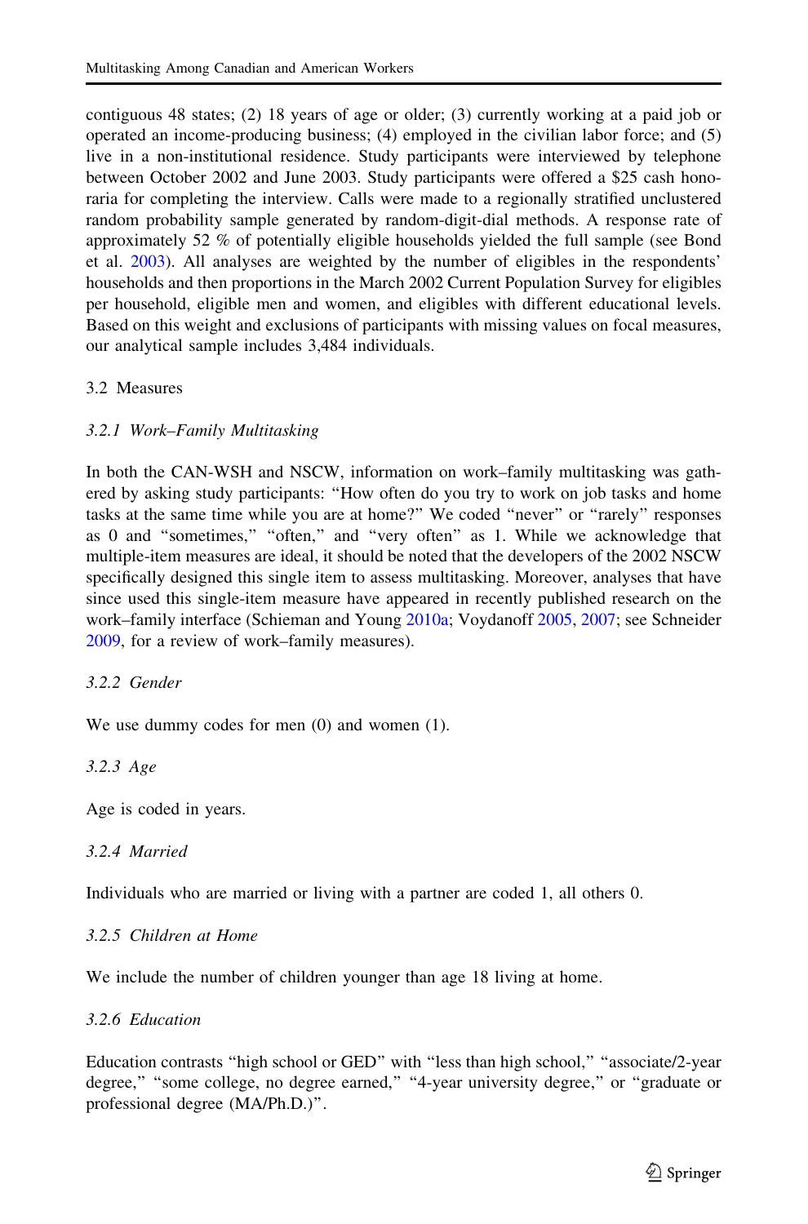contiguous 48 states; (2) 18 years of age or older; (3) currently working at a paid job or operated an income-producing business; (4) employed in the civilian labor force; and (5) live in a non-institutional residence. Study participants were interviewed by telephone between October 2002 and June 2003. Study participants were offered a \$25 cash honoraria for completing the interview. Calls were made to a regionally stratified unclustered random probability sample generated by random-digit-dial methods. A response rate of approximately 52 % of potentially eligible households yielded the full sample (see Bond et al. [2003\)](#page-24-0). All analyses are weighted by the number of eligibles in the respondents' households and then proportions in the March 2002 Current Population Survey for eligibles per household, eligible men and women, and eligibles with different educational levels. Based on this weight and exclusions of participants with missing values on focal measures, our analytical sample includes 3,484 individuals.

### 3.2 Measures

### 3.2.1 Work–Family Multitasking

In both the CAN-WSH and NSCW, information on work–family multitasking was gathered by asking study participants: ''How often do you try to work on job tasks and home tasks at the same time while you are at home?'' We coded ''never'' or ''rarely'' responses as 0 and "sometimes," "often," and "very often" as 1. While we acknowledge that multiple-item measures are ideal, it should be noted that the developers of the 2002 NSCW specifically designed this single item to assess multitasking. Moreover, analyses that have since used this single-item measure have appeared in recently published research on the work–family interface (Schieman and Young [2010a](#page-27-0); Voydanoff [2005](#page-27-0), [2007](#page-27-0); see Schneider [2009,](#page-27-0) for a review of work–family measures).

### 3.2.2 Gender

We use dummy codes for men  $(0)$  and women  $(1)$ .

### 3.2.3 Age

Age is coded in years.

### 3.2.4 Married

Individuals who are married or living with a partner are coded 1, all others 0.

### 3.2.5 Children at Home

We include the number of children younger than age 18 living at home.

### 3.2.6 Education

Education contrasts "high school or GED" with "less than high school," "associate/2-year degree," "some college, no degree earned," "4-year university degree," or "graduate or professional degree (MA/Ph.D.)''.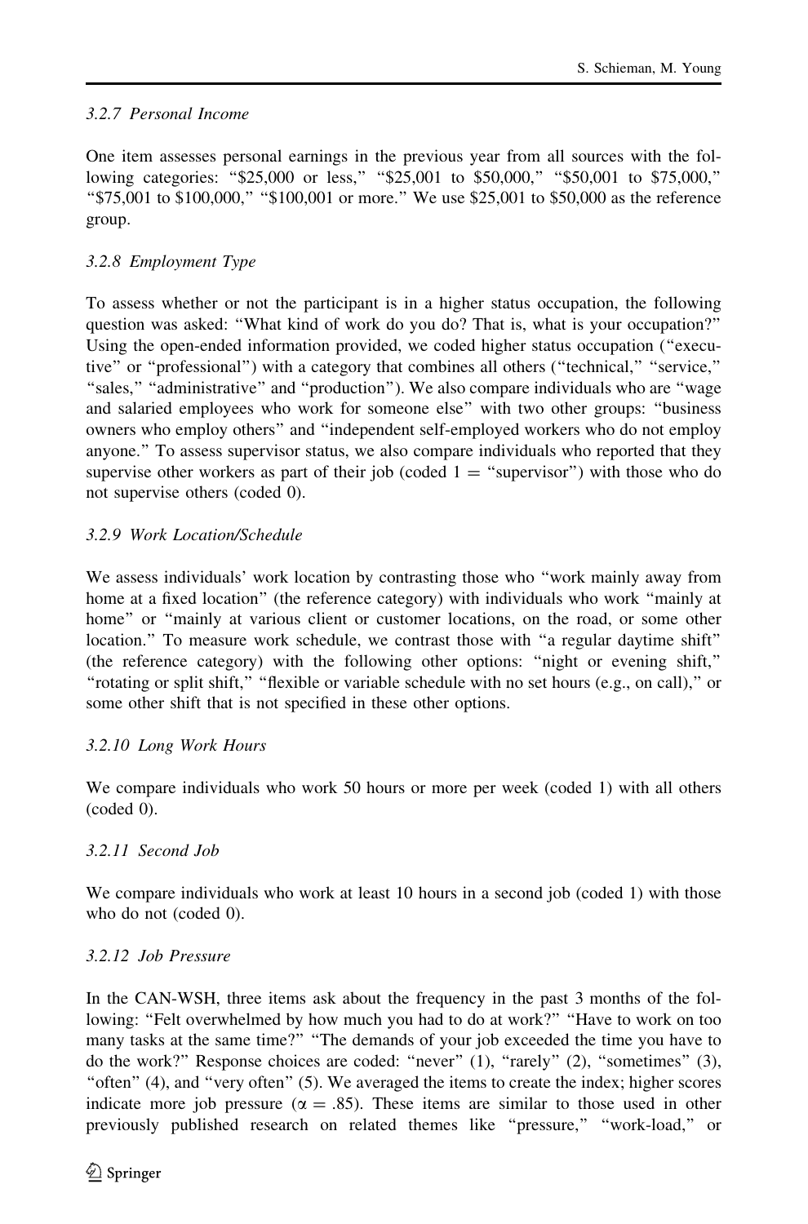### 3.2.7 Personal Income

One item assesses personal earnings in the previous year from all sources with the following categories: "\$25,000 or less," "\$25,001 to \$50,000," "\$50,001 to \$75,000," ''\$75,001 to \$100,000,'' ''\$100,001 or more.'' We use \$25,001 to \$50,000 as the reference group.

### 3.2.8 Employment Type

To assess whether or not the participant is in a higher status occupation, the following question was asked: ''What kind of work do you do? That is, what is your occupation?'' Using the open-ended information provided, we coded higher status occupation (''executive'' or ''professional'') with a category that combines all others (''technical,'' ''service,'' "sales," "administrative" and "production"). We also compare individuals who are "wage and salaried employees who work for someone else'' with two other groups: ''business owners who employ others'' and ''independent self-employed workers who do not employ anyone.'' To assess supervisor status, we also compare individuals who reported that they supervise other workers as part of their job (coded  $1 =$  "supervisor") with those who do not supervise others (coded 0).

### 3.2.9 Work Location/Schedule

We assess individuals' work location by contrasting those who ''work mainly away from home at a fixed location'' (the reference category) with individuals who work ''mainly at home" or "mainly at various client or customer locations, on the road, or some other location." To measure work schedule, we contrast those with "a regular daytime shift" (the reference category) with the following other options: ''night or evening shift,'' ''rotating or split shift,'' ''flexible or variable schedule with no set hours (e.g., on call),'' or some other shift that is not specified in these other options.

### 3.2.10 Long Work Hours

We compare individuals who work 50 hours or more per week (coded 1) with all others (coded 0).

### 3.2.11 Second Job

We compare individuals who work at least 10 hours in a second job (coded 1) with those who do not (coded 0).

### 3.2.12 Job Pressure

In the CAN-WSH, three items ask about the frequency in the past 3 months of the following: "Felt overwhelmed by how much you had to do at work?" "Have to work on too many tasks at the same time?" "The demands of your job exceeded the time you have to do the work?" Response choices are coded: "never" (1), "rarely" (2), "sometimes" (3), "often" (4), and "very often" (5). We averaged the items to create the index; higher scores indicate more job pressure ( $\alpha = .85$ ). These items are similar to those used in other previously published research on related themes like ''pressure,'' ''work-load,'' or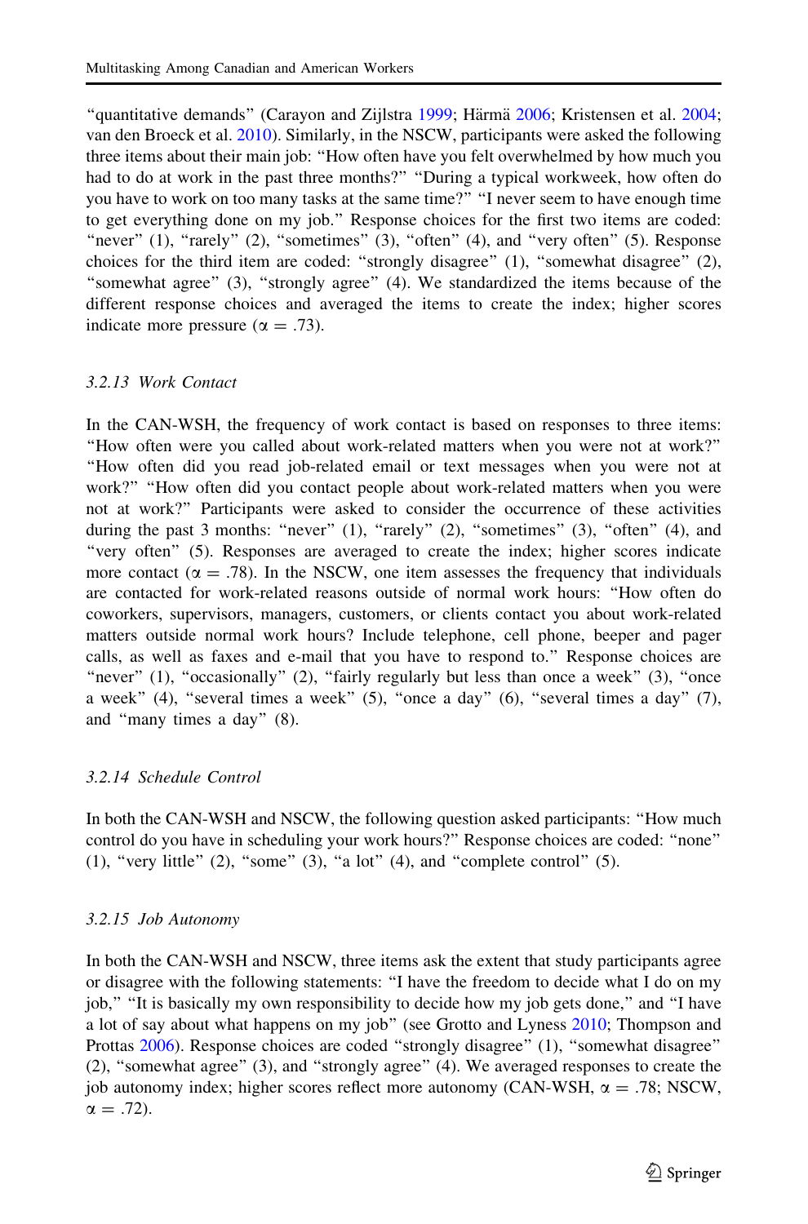"quantitative demands" (Carayon and Zijlstra [1999](#page-24-0); Härmä [2006;](#page-25-0) Kristensen et al. [2004;](#page-25-0) van den Broeck et al. [2010\)](#page-27-0). Similarly, in the NSCW, participants were asked the following three items about their main job: ''How often have you felt overwhelmed by how much you had to do at work in the past three months?" "During a typical workweek, how often do you have to work on too many tasks at the same time?'' ''I never seem to have enough time to get everything done on my job.'' Response choices for the first two items are coded: "never" (1), "rarely" (2), "sometimes" (3), "often" (4), and "very often" (5). Response choices for the third item are coded: ''strongly disagree'' (1), ''somewhat disagree'' (2), ''somewhat agree'' (3), ''strongly agree'' (4). We standardized the items because of the different response choices and averaged the items to create the index; higher scores indicate more pressure ( $\alpha = .73$ ).

### 3.2.13 Work Contact

In the CAN-WSH, the frequency of work contact is based on responses to three items: ''How often were you called about work-related matters when you were not at work?'' ''How often did you read job-related email or text messages when you were not at work?'' ''How often did you contact people about work-related matters when you were not at work?'' Participants were asked to consider the occurrence of these activities during the past 3 months: "never" (1), "rarely" (2), "sometimes" (3), "often" (4), and "very often" (5). Responses are averaged to create the index; higher scores indicate more contact ( $\alpha = .78$ ). In the NSCW, one item assesses the frequency that individuals are contacted for work-related reasons outside of normal work hours: ''How often do coworkers, supervisors, managers, customers, or clients contact you about work-related matters outside normal work hours? Include telephone, cell phone, beeper and pager calls, as well as faxes and e-mail that you have to respond to.'' Response choices are "never" (1), "occasionally" (2), "fairly regularly but less than once a week" (3), "once a week"  $(4)$ , "several times a week"  $(5)$ , "once a day"  $(6)$ , "several times a day"  $(7)$ , and "many times a day" (8).

### 3.2.14 Schedule Control

In both the CAN-WSH and NSCW, the following question asked participants: ''How much control do you have in scheduling your work hours?'' Response choices are coded: ''none''  $(1)$ , "very little"  $(2)$ , "some"  $(3)$ , "a lot"  $(4)$ , and "complete control"  $(5)$ .

#### 3.2.15 Job Autonomy

In both the CAN-WSH and NSCW, three items ask the extent that study participants agree or disagree with the following statements: ''I have the freedom to decide what I do on my job," "It is basically my own responsibility to decide how my job gets done," and "I have a lot of say about what happens on my job'' (see Grotto and Lyness [2010](#page-25-0); Thompson and Prottas [2006\)](#page-27-0). Response choices are coded "strongly disagree" (1), "somewhat disagree" (2), ''somewhat agree'' (3), and ''strongly agree'' (4). We averaged responses to create the job autonomy index; higher scores reflect more autonomy (CAN-WSH,  $\alpha = .78$ ; NSCW,  $\alpha = .72$ ).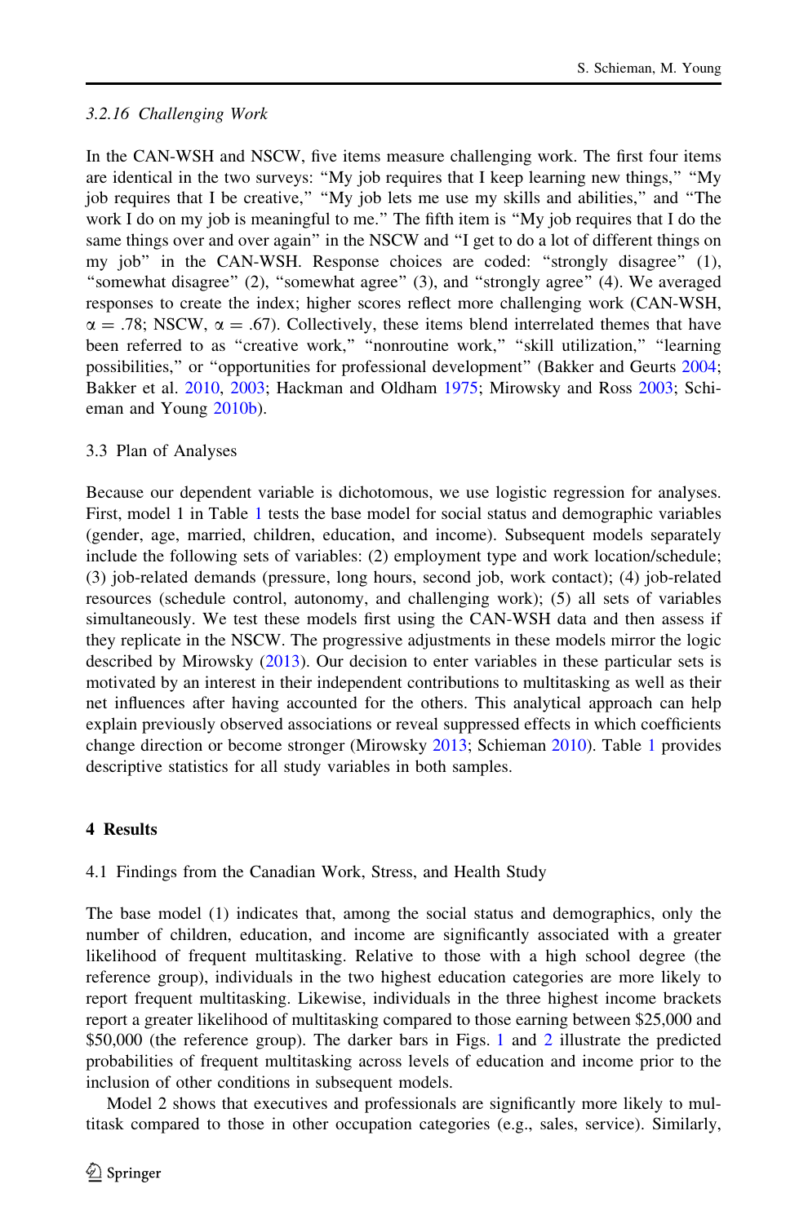### 3.2.16 Challenging Work

In the CAN-WSH and NSCW, five items measure challenging work. The first four items are identical in the two surveys: ''My job requires that I keep learning new things,'' ''My job requires that I be creative,'' ''My job lets me use my skills and abilities,'' and ''The work I do on my job is meaningful to me.'' The fifth item is ''My job requires that I do the same things over and over again'' in the NSCW and ''I get to do a lot of different things on my job'' in the CAN-WSH. Response choices are coded: ''strongly disagree'' (1), "somewhat disagree" (2), "somewhat agree" (3), and "strongly agree" (4). We averaged responses to create the index; higher scores reflect more challenging work (CAN-WSH,  $\alpha = .78$ ; NSCW,  $\alpha = .67$ ). Collectively, these items blend interrelated themes that have been referred to as "creative work," "nonroutine work," "skill utilization," "learning possibilities,'' or ''opportunities for professional development'' (Bakker and Geurts [2004;](#page-23-0) Bakker et al. [2010,](#page-23-0) [2003](#page-23-0); Hackman and Oldham [1975](#page-25-0); Mirowsky and Ross [2003](#page-26-0); Schi-eman and Young [2010b\)](#page-27-0).

### 3.3 Plan of Analyses

Because our dependent variable is dichotomous, we use logistic regression for analyses. First, model 1 in Table [1](#page-13-0) tests the base model for social status and demographic variables (gender, age, married, children, education, and income). Subsequent models separately include the following sets of variables: (2) employment type and work location/schedule; (3) job-related demands (pressure, long hours, second job, work contact); (4) job-related resources (schedule control, autonomy, and challenging work); (5) all sets of variables simultaneously. We test these models first using the CAN-WSH data and then assess if they replicate in the NSCW. The progressive adjustments in these models mirror the logic described by Mirowsky [\(2013](#page-26-0)). Our decision to enter variables in these particular sets is motivated by an interest in their independent contributions to multitasking as well as their net influences after having accounted for the others. This analytical approach can help explain previously observed associations or reveal suppressed effects in which coefficients change direction or become stronger (Mirowsky [2013](#page-26-0); Schieman [2010](#page-26-0)). Table [1](#page-13-0) provides descriptive statistics for all study variables in both samples.

### 4 Results

4.1 Findings from the Canadian Work, Stress, and Health Study

The base model (1) indicates that, among the social status and demographics, only the number of children, education, and income are significantly associated with a greater likelihood of frequent multitasking. Relative to those with a high school degree (the reference group), individuals in the two highest education categories are more likely to report frequent multitasking. Likewise, individuals in the three highest income brackets report a greater likelihood of multitasking compared to those earning between \$25,000 and \$50,000 (the reference group). The darker bars in Figs. [1](#page-14-0) and [2](#page-14-0) illustrate the predicted probabilities of frequent multitasking across levels of education and income prior to the inclusion of other conditions in subsequent models.

Model 2 shows that executives and professionals are significantly more likely to multitask compared to those in other occupation categories (e.g., sales, service). Similarly,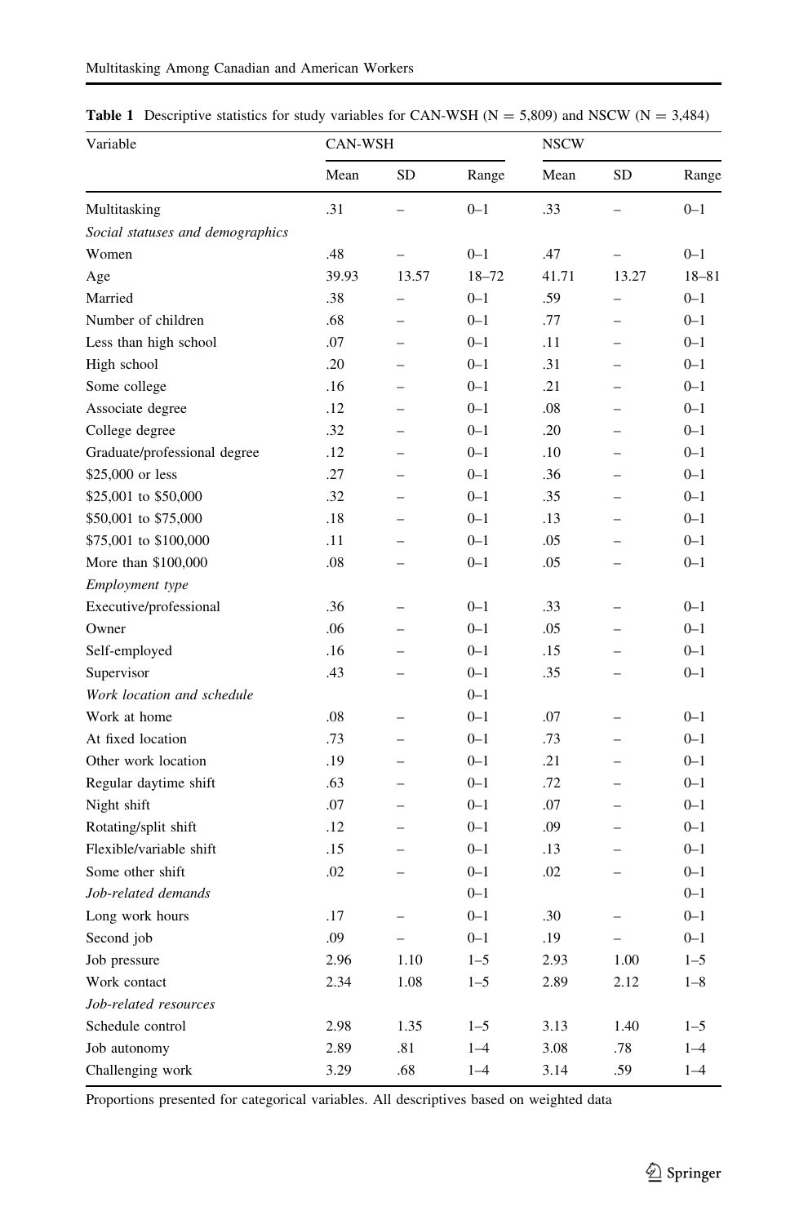| Variable                         | <b>CAN-WSH</b> |                          |           | <b>NSCW</b> |                          |           |  |
|----------------------------------|----------------|--------------------------|-----------|-------------|--------------------------|-----------|--|
|                                  | Mean           | <b>SD</b>                | Range     | Mean        | <b>SD</b>                | Range     |  |
| Multitasking                     | .31            |                          | $0 - 1$   | .33         |                          | $0 - 1$   |  |
| Social statuses and demographics |                |                          |           |             |                          |           |  |
| Women                            | .48            |                          | $0 - 1$   | .47         |                          | $0 - 1$   |  |
| Age                              | 39.93          | 13.57                    | $18 - 72$ | 41.71       | 13.27                    | $18 - 81$ |  |
| Married                          | .38            |                          | $0 - 1$   | .59         | $\overline{a}$           | $0 - 1$   |  |
| Number of children               | .68            | $\overline{a}$           | $0 - 1$   | .77         | $\overline{\phantom{0}}$ | $0 - 1$   |  |
| Less than high school            | .07            | $\overline{a}$           | $0 - 1$   | .11         | $\overline{a}$           | $0 - 1$   |  |
| High school                      | .20            | $\overline{\phantom{0}}$ | $0 - 1$   | .31         | $\overline{a}$           | $0 - 1$   |  |
| Some college                     | .16            | $\equiv$                 | $0 - 1$   | .21         | $\overline{\phantom{0}}$ | $0 - 1$   |  |
| Associate degree                 | .12            | $\overline{\phantom{0}}$ | $0 - 1$   | .08         | $\overline{a}$           | $0 - 1$   |  |
| College degree                   | .32            | $\overline{a}$           | $0 - 1$   | .20         | $\overline{\phantom{a}}$ | $0 - 1$   |  |
| Graduate/professional degree     | .12            | $\overline{\phantom{0}}$ | $0 - 1$   | .10         | $\overline{\phantom{0}}$ | $0 - 1$   |  |
| \$25,000 or less                 | .27            | $\overline{a}$           | $0 - 1$   | .36         |                          | $0 - 1$   |  |
| \$25,001 to \$50,000             | .32            |                          | $0 - 1$   | .35         |                          | $0 - 1$   |  |
| \$50,001 to \$75,000             | .18            | $\overline{a}$           | $0 - 1$   | .13         | $\overline{\phantom{0}}$ | $0 - 1$   |  |
| \$75,001 to \$100,000            | .11            | $\overline{\phantom{0}}$ | $0 - 1$   | .05         | $\overline{a}$           | $0 - 1$   |  |
| More than \$100,000              | .08            | $\overline{a}$           | $0 - 1$   | .05         | $\overline{\phantom{0}}$ | $0 - 1$   |  |
| Employment type                  |                |                          |           |             |                          |           |  |
| Executive/professional           | .36            | $\overline{\phantom{0}}$ | $0 - 1$   | .33         | $\overline{\phantom{0}}$ | $0 - 1$   |  |
| Owner                            | .06            | $\overline{\phantom{0}}$ | $0 - 1$   | .05         | $\overline{\phantom{0}}$ | $0 - 1$   |  |
| Self-employed                    | .16            | $\overline{\phantom{0}}$ | $0 - 1$   | .15         | $\overline{a}$           | $0 - 1$   |  |
| Supervisor                       | .43            |                          | $0 - 1$   | .35         |                          | $0 - 1$   |  |
| Work location and schedule       |                |                          | $0 - 1$   |             |                          |           |  |
| Work at home                     | .08            |                          | $0 - 1$   | .07         |                          | $0 - 1$   |  |
| At fixed location                | .73            | $\overline{a}$           | $0 - 1$   | .73         | $\overline{a}$           | $0 - 1$   |  |
| Other work location              | .19            | $\overline{a}$           | $0 - 1$   | .21         | $\overline{\phantom{a}}$ | $0 - 1$   |  |
| Regular daytime shift            | .63            | $\overline{\phantom{0}}$ | $0 - 1$   | .72         | $\overline{\phantom{0}}$ | $0 - 1$   |  |
| Night shift                      | .07            | $\overline{\phantom{0}}$ | $0 - 1$   | .07         | $\overline{a}$           | $0 - 1$   |  |
| Rotating/split shift             | .12            | $\overline{a}$           | $0 - 1$   | .09         | $\equiv$                 | $0 - 1$   |  |
| Flexible/variable shift          | .15            | $\equiv$                 | $0 - 1$   | .13         | $\overline{\phantom{a}}$ | $0 - 1$   |  |
| Some other shift                 | .02            | $\overline{\phantom{0}}$ | $0 - 1$   | .02         | $\overline{\phantom{0}}$ | $0 - 1$   |  |
| Job-related demands              |                |                          | $0 - 1$   |             |                          | $0 - 1$   |  |
| Long work hours                  | .17            | $\overline{\phantom{0}}$ | $0 - 1$   | .30         | $\overline{a}$           | $0 - 1$   |  |
| Second job                       | .09            | $\overline{a}$           | $0 - 1$   | .19         | $\overline{a}$           | $0 - 1$   |  |
| Job pressure                     | 2.96           | 1.10                     | $1 - 5$   | 2.93        | 1.00                     | $1 - 5$   |  |
| Work contact                     | 2.34           | 1.08                     | $1 - 5$   | 2.89        | 2.12                     | $1 - 8$   |  |
| Job-related resources            |                |                          |           |             |                          |           |  |
| Schedule control                 | 2.98           | 1.35                     | $1 - 5$   | 3.13        | 1.40                     | $1 - 5$   |  |
| Job autonomy                     | 2.89           | .81                      | $1 - 4$   | 3.08        | .78                      | $1 - 4$   |  |
| Challenging work                 | 3.29           | .68                      | $1 - 4$   | 3.14        | .59                      | $1 - 4$   |  |

<span id="page-13-0"></span>

|  |  |  |  |  |  |  |  |  | <b>Table 1</b> Descriptive statistics for study variables for CAN-WSH ( $N = 5,809$ ) and NSCW ( $N = 3,484$ ) |  |  |  |
|--|--|--|--|--|--|--|--|--|----------------------------------------------------------------------------------------------------------------|--|--|--|
|--|--|--|--|--|--|--|--|--|----------------------------------------------------------------------------------------------------------------|--|--|--|

Proportions presented for categorical variables. All descriptives based on weighted data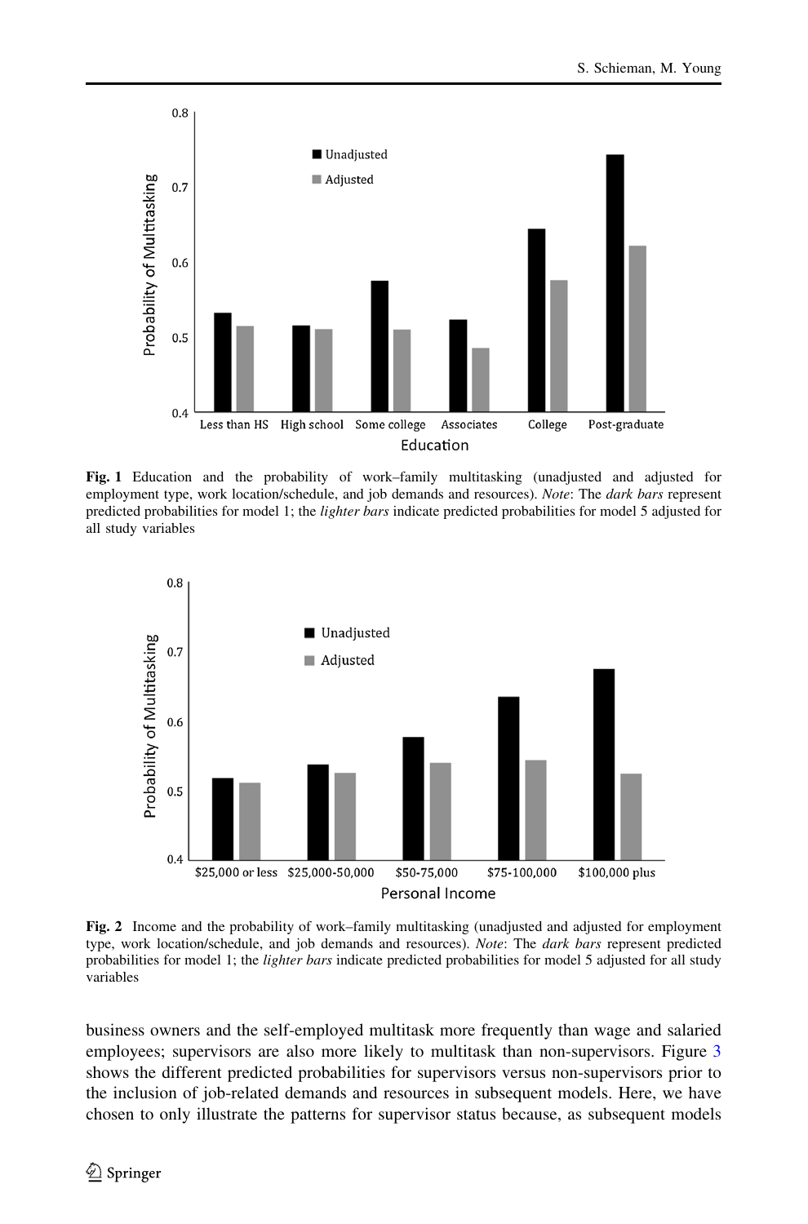<span id="page-14-0"></span>

Fig. 1 Education and the probability of work–family multitasking (unadjusted and adjusted for employment type, work location/schedule, and job demands and resources). Note: The dark bars represent predicted probabilities for model 1; the *lighter bars* indicate predicted probabilities for model 5 adjusted for all study variables



Fig. 2 Income and the probability of work–family multitasking (unadjusted and adjusted for employment type, work location/schedule, and job demands and resources). Note: The dark bars represent predicted probabilities for model 1; the *lighter bars* indicate predicted probabilities for model 5 adjusted for all study variables

business owners and the self-employed multitask more frequently than wage and salaried employees; supervisors are also more likely to multitask than non-supervisors. Figure [3](#page-15-0) shows the different predicted probabilities for supervisors versus non-supervisors prior to the inclusion of job-related demands and resources in subsequent models. Here, we have chosen to only illustrate the patterns for supervisor status because, as subsequent models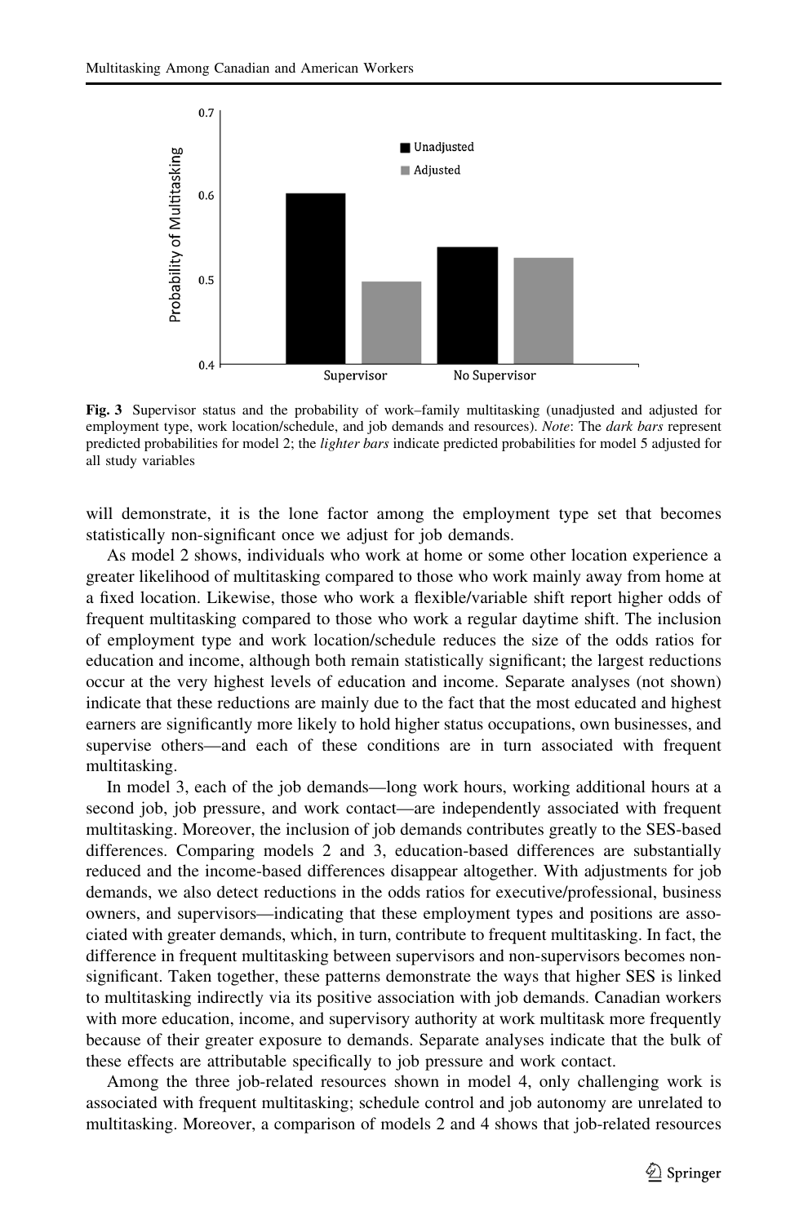<span id="page-15-0"></span>

Fig. 3 Supervisor status and the probability of work–family multitasking (unadjusted and adjusted for employment type, work location/schedule, and job demands and resources). Note: The dark bars represent predicted probabilities for model 2; the *lighter bars* indicate predicted probabilities for model 5 adjusted for all study variables

will demonstrate, it is the lone factor among the employment type set that becomes statistically non-significant once we adjust for job demands.

As model 2 shows, individuals who work at home or some other location experience a greater likelihood of multitasking compared to those who work mainly away from home at a fixed location. Likewise, those who work a flexible/variable shift report higher odds of frequent multitasking compared to those who work a regular daytime shift. The inclusion of employment type and work location/schedule reduces the size of the odds ratios for education and income, although both remain statistically significant; the largest reductions occur at the very highest levels of education and income. Separate analyses (not shown) indicate that these reductions are mainly due to the fact that the most educated and highest earners are significantly more likely to hold higher status occupations, own businesses, and supervise others—and each of these conditions are in turn associated with frequent multitasking.

In model 3, each of the job demands—long work hours, working additional hours at a second job, job pressure, and work contact—are independently associated with frequent multitasking. Moreover, the inclusion of job demands contributes greatly to the SES-based differences. Comparing models 2 and 3, education-based differences are substantially reduced and the income-based differences disappear altogether. With adjustments for job demands, we also detect reductions in the odds ratios for executive/professional, business owners, and supervisors—indicating that these employment types and positions are associated with greater demands, which, in turn, contribute to frequent multitasking. In fact, the difference in frequent multitasking between supervisors and non-supervisors becomes nonsignificant. Taken together, these patterns demonstrate the ways that higher SES is linked to multitasking indirectly via its positive association with job demands. Canadian workers with more education, income, and supervisory authority at work multitask more frequently because of their greater exposure to demands. Separate analyses indicate that the bulk of these effects are attributable specifically to job pressure and work contact.

Among the three job-related resources shown in model 4, only challenging work is associated with frequent multitasking; schedule control and job autonomy are unrelated to multitasking. Moreover, a comparison of models 2 and 4 shows that job-related resources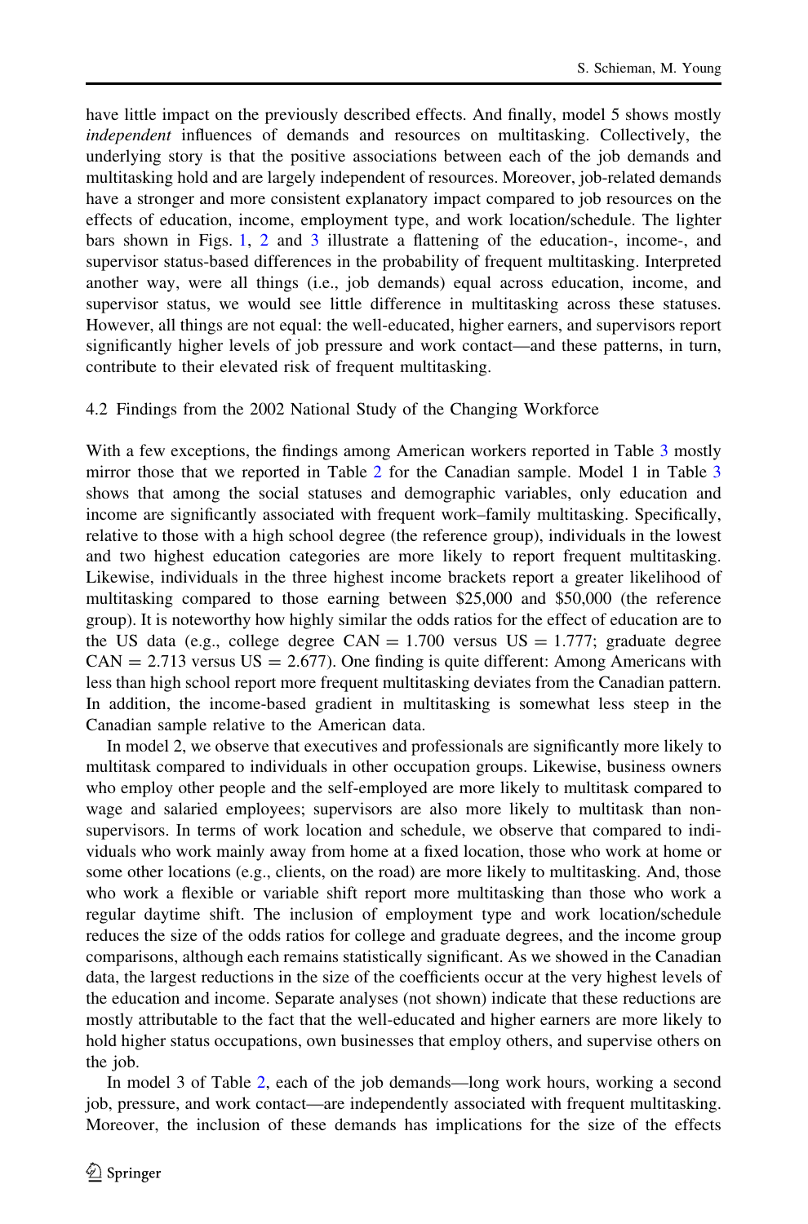have little impact on the previously described effects. And finally, model 5 shows mostly independent influences of demands and resources on multitasking. Collectively, the underlying story is that the positive associations between each of the job demands and multitasking hold and are largely independent of resources. Moreover, job-related demands have a stronger and more consistent explanatory impact compared to job resources on the effects of education, income, employment type, and work location/schedule. The lighter bars shown in Figs. [1,](#page-14-0) [2](#page-14-0) and [3](#page-15-0) illustrate a flattening of the education-, income-, and supervisor status-based differences in the probability of frequent multitasking. Interpreted another way, were all things (i.e., job demands) equal across education, income, and supervisor status, we would see little difference in multitasking across these statuses. However, all things are not equal: the well-educated, higher earners, and supervisors report significantly higher levels of job pressure and work contact—and these patterns, in turn, contribute to their elevated risk of frequent multitasking.

### 4.2 Findings from the 2002 National Study of the Changing Workforce

With a few exceptions, the findings among American workers reported in Table [3](#page-19-0) mostly mirror those that we reported in Table [2](#page-17-0) for the Canadian sample. Model 1 in Table [3](#page-19-0) shows that among the social statuses and demographic variables, only education and income are significantly associated with frequent work–family multitasking. Specifically, relative to those with a high school degree (the reference group), individuals in the lowest and two highest education categories are more likely to report frequent multitasking. Likewise, individuals in the three highest income brackets report a greater likelihood of multitasking compared to those earning between \$25,000 and \$50,000 (the reference group). It is noteworthy how highly similar the odds ratios for the effect of education are to the US data (e.g., college degree  $CAN = 1.700$  versus US = 1.777; graduate degree  $CAN = 2.713$  versus  $US = 2.677$ ). One finding is quite different: Among Americans with less than high school report more frequent multitasking deviates from the Canadian pattern. In addition, the income-based gradient in multitasking is somewhat less steep in the Canadian sample relative to the American data.

In model 2, we observe that executives and professionals are significantly more likely to multitask compared to individuals in other occupation groups. Likewise, business owners who employ other people and the self-employed are more likely to multitask compared to wage and salaried employees; supervisors are also more likely to multitask than nonsupervisors. In terms of work location and schedule, we observe that compared to individuals who work mainly away from home at a fixed location, those who work at home or some other locations (e.g., clients, on the road) are more likely to multitasking. And, those who work a flexible or variable shift report more multitasking than those who work a regular daytime shift. The inclusion of employment type and work location/schedule reduces the size of the odds ratios for college and graduate degrees, and the income group comparisons, although each remains statistically significant. As we showed in the Canadian data, the largest reductions in the size of the coefficients occur at the very highest levels of the education and income. Separate analyses (not shown) indicate that these reductions are mostly attributable to the fact that the well-educated and higher earners are more likely to hold higher status occupations, own businesses that employ others, and supervise others on the job.

In model 3 of Table [2,](#page-17-0) each of the job demands—long work hours, working a second job, pressure, and work contact—are independently associated with frequent multitasking. Moreover, the inclusion of these demands has implications for the size of the effects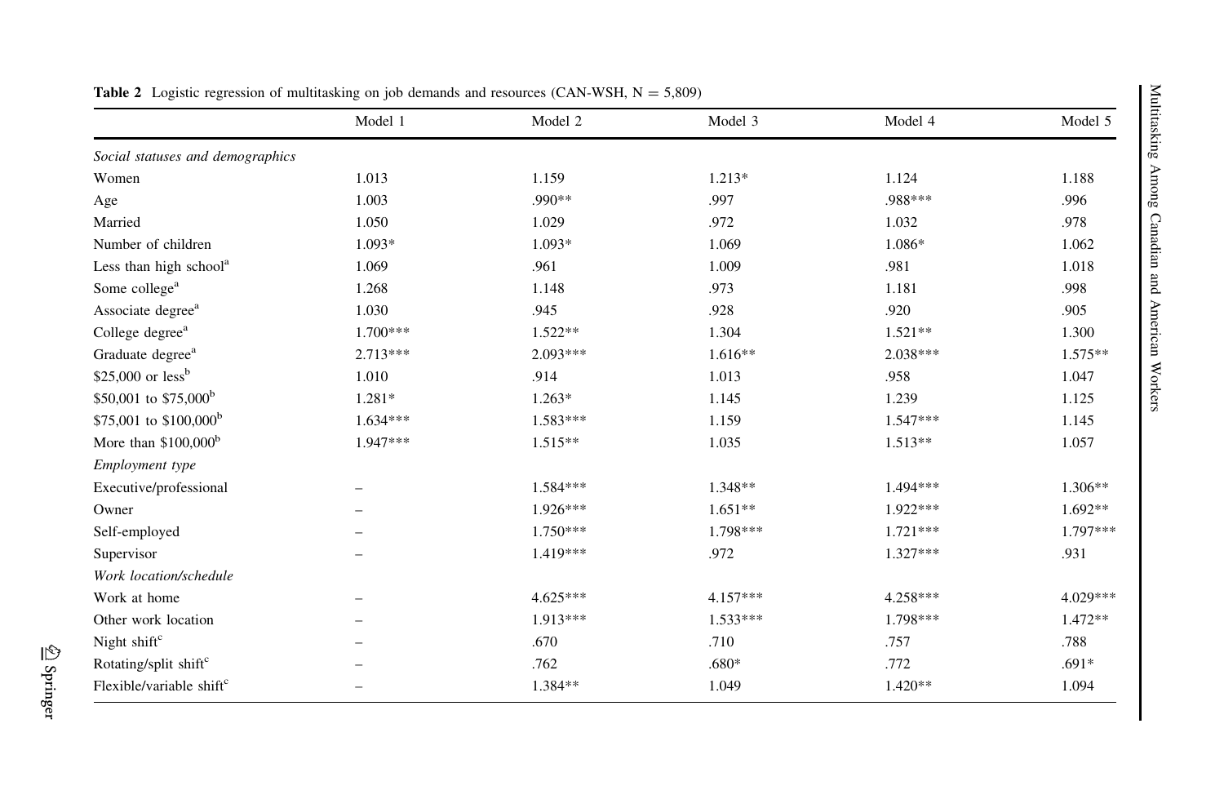|                                      | Model 1    | Model 2    | Model 3    | Model 4    | Model 5    |
|--------------------------------------|------------|------------|------------|------------|------------|
| Social statuses and demographics     |            |            |            |            |            |
| Women                                | 1.013      | 1.159      | 1.213*     | 1.124      | 1.188      |
| Age                                  | 1.003      | .990**     | .997       | .988***    | .996       |
| Married                              | 1.050      | 1.029      | .972       | 1.032      | .978       |
| Number of children                   | $1.093*$   | 1.093*     | 1.069      | 1.086*     | 1.062      |
| Less than high school <sup>a</sup>   | 1.069      | .961       | 1.009      | .981       | 1.018      |
| Some college <sup>a</sup>            | 1.268      | 1.148      | .973       | 1.181      | .998       |
| Associate degree <sup>a</sup>        | 1.030      | .945       | .928       | .920       | .905       |
| College degree <sup>a</sup>          | $1.700***$ | $1.522**$  | 1.304      | $1.521**$  | 1.300      |
| Graduate degree <sup>a</sup>         | $2.713***$ | $2.093***$ | $1.616**$  | $2.038***$ | $1.575**$  |
| $$25,000$ or less <sup>b</sup>       | 1.010      | .914       | 1.013      | .958       | 1.047      |
| \$50,001 to \$75,000 <sup>b</sup>    | 1.281*     | $1.263*$   | 1.145      | 1.239      | 1.125      |
| \$75,001 to \$100,000 <sup>b</sup>   | $1.634***$ | $1.583***$ | 1.159      | $1.547***$ | 1.145      |
| More than $$100,000$ <sup>b</sup>    | 1.947***   | $1.515**$  | 1.035      | $1.513**$  | 1.057      |
| Employment type                      |            |            |            |            |            |
| Executive/professional               | -          | $1.584***$ | $1.348**$  | $1.494***$ | $1.306**$  |
| Owner                                |            | $1.926***$ | $1.651**$  | $1.922***$ | 1.692**    |
| Self-employed                        |            | $1.750***$ | 1.798***   | $1.721***$ | $1.797***$ |
| Supervisor                           |            | $1.419***$ | .972       | 1.327***   | .931       |
| Work location/schedule               |            |            |            |            |            |
| Work at home                         |            | $4.625***$ | 4.157***   | 4.258***   | $4.029***$ |
| Other work location                  |            | $1.913***$ | $1.533***$ | 1.798***   | $1.472**$  |
| Night shift <sup>c</sup>             |            | .670       | .710       | .757       | .788       |
| Rotating/split shift <sup>c</sup>    |            | .762       | .680*      | .772       | $.691*$    |
| Flexible/variable shift <sup>c</sup> |            | 1.384**    | 1.049      | $1.420**$  | 1.094      |
|                                      |            |            |            |            |            |

<span id="page-17-0"></span>

|  |  |  | <b>Table 2</b> Logistic regression of multitasking on job demands and resources (CAN-WSH, $N = 5,809$ ) |  |  |  |  |  |  |
|--|--|--|---------------------------------------------------------------------------------------------------------|--|--|--|--|--|--|
|--|--|--|---------------------------------------------------------------------------------------------------------|--|--|--|--|--|--|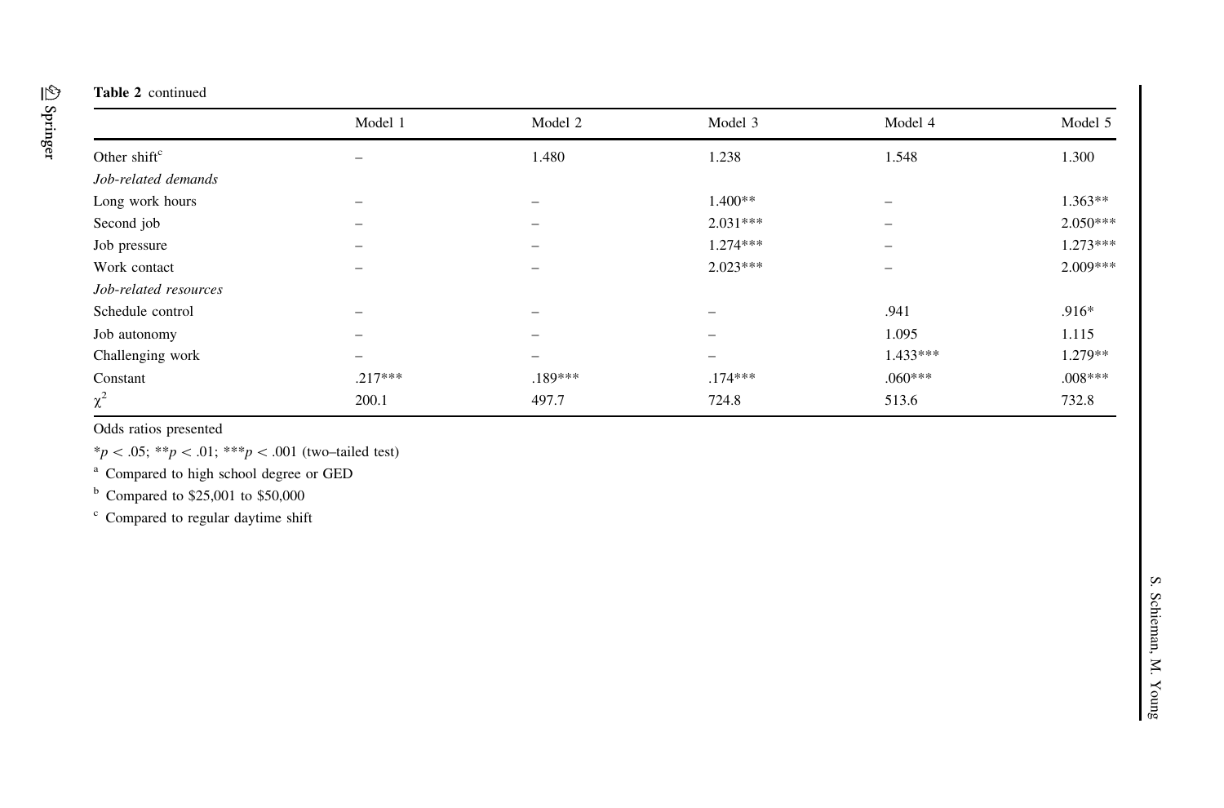### Table 2 continued

|                          | Model 1         | Model 2                  | Model 3    | Model 4         | Model 5    |
|--------------------------|-----------------|--------------------------|------------|-----------------|------------|
| Other shift <sup>c</sup> | $\qquad \qquad$ | 1.480                    | 1.238      | 1.548           | 1.300      |
| Job-related demands      |                 |                          |            |                 |            |
| Long work hours          |                 |                          | $1.400**$  |                 | 1.363**    |
| Second job               | $\qquad \qquad$ |                          | $2.031***$ |                 | $2.050***$ |
| Job pressure             | $\qquad \qquad$ | $\overline{\phantom{0}}$ | $1.274***$ |                 | $1.273***$ |
| Work contact             | $\qquad \qquad$ |                          | $2.023***$ | $\qquad \qquad$ | $2.009***$ |
| Job-related resources    |                 |                          |            |                 |            |
| Schedule control         | $\qquad \qquad$ | $\qquad \qquad$          |            | .941            | .916*      |
| Job autonomy             | $\qquad \qquad$ | $\overline{\phantom{0}}$ |            | 1.095           | 1.115      |
| Challenging work         | $\qquad \qquad$ | $\overline{\phantom{0}}$ |            | $1.433***$      | 1.279**    |
| Constant                 | $.217***$       | $.189***$                | $.174***$  | $.060***$       | $.008***$  |
| $\chi^2$                 | 200.1           | 497.7                    | 724.8      | 513.6           | 732.8      |

Odds ratios presented

 $*p$  < .05;  $**p$  < .01;  $**p$  < .001 (two–tailed test)

<sup>a</sup> Compared to high school degree or GED

 $b$  Compared to \$25,001 to \$50,000

<sup>c</sup> Compared to regular daytime shift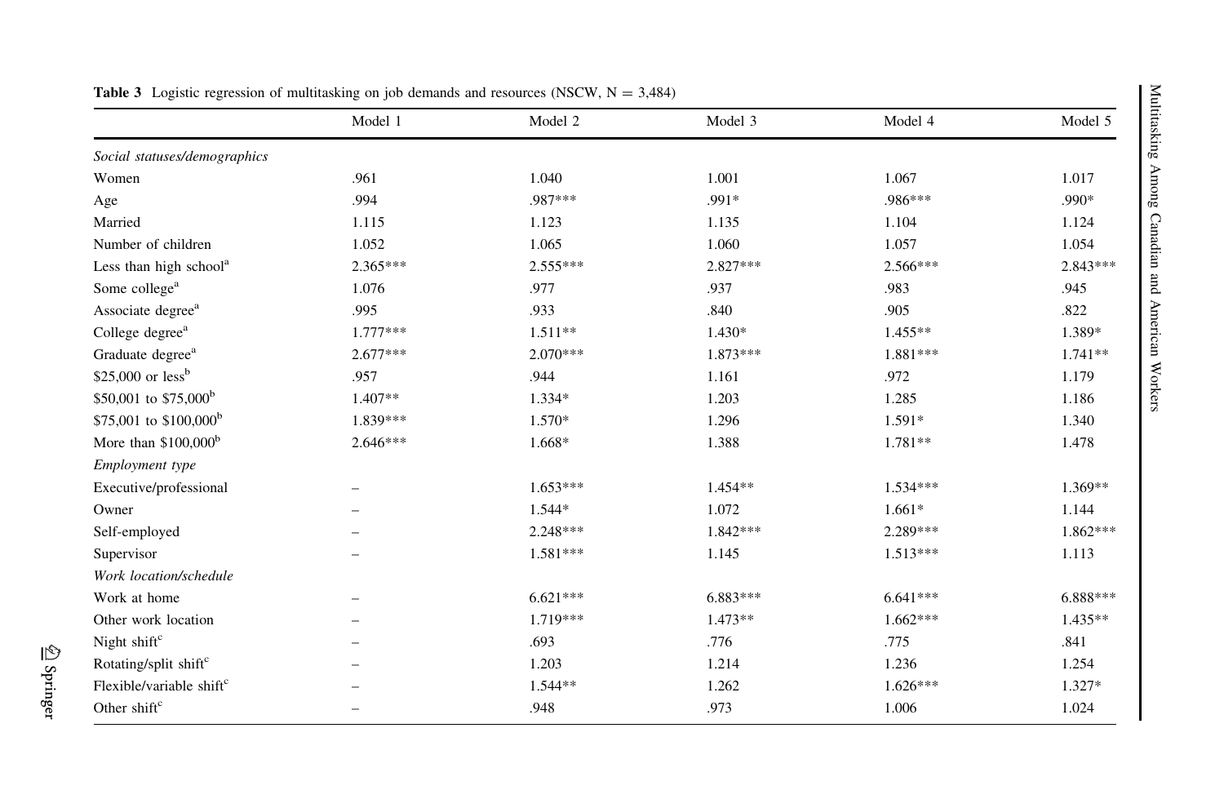|                                          | Model 1                  | Model 2    | Model 3    | Model 4    | Model 5    |
|------------------------------------------|--------------------------|------------|------------|------------|------------|
| Social statuses/demographics             |                          |            |            |            |            |
| Women                                    | .961                     | 1.040      | 1.001      | 1.067      | 1.017      |
| Age                                      | .994                     | .987***    | .991*      | .986***    | .990*      |
| Married                                  | 1.115                    | 1.123      | 1.135      | 1.104      | 1.124      |
| Number of children                       | 1.052                    | 1.065      | 1.060      | 1.057      | 1.054      |
| Less than high school <sup>a</sup>       | 2.365***                 | $2.555***$ | 2.827***   | 2.566***   | 2.843***   |
| Some college <sup>a</sup>                | 1.076                    | .977       | .937       | .983       | .945       |
| Associate degree <sup>a</sup>            | .995                     | .933       | .840       | .905       | .822       |
| College degree <sup><math>a</math></sup> | 1.777***                 | $1.511**$  | 1.430*     | $1.455**$  | 1.389*     |
| Graduate degree <sup>a</sup>             | $2.677***$               | $2.070***$ | $1.873***$ | 1.881***   | $1.741**$  |
| $$25,000$ or less <sup>b</sup>           | .957                     | .944       | 1.161      | .972       | 1.179      |
| \$50,001 to \$75,000 <sup>b</sup>        | 1.407**                  | 1.334*     | 1.203      | 1.285      | 1.186      |
| \$75,001 to \$100,000 <sup>b</sup>       | 1.839***                 | 1.570*     | 1.296      | 1.591*     | 1.340      |
| More than $$100,000$ <sup>b</sup>        | $2.646***$               | 1.668*     | 1.388      | 1.781**    | 1.478      |
| Employment type                          |                          |            |            |            |            |
| Executive/professional                   | $\qquad \qquad$          | $1.653***$ | $1.454**$  | $1.534***$ | $1.369**$  |
| Owner                                    |                          | 1.544*     | 1.072      | $1.661*$   | 1.144      |
| Self-employed                            |                          | $2.248***$ | $1.842***$ | 2.289***   | $1.862***$ |
| Supervisor                               |                          | $1.581***$ | 1.145      | $1.513***$ | 1.113      |
| Work location/schedule                   |                          |            |            |            |            |
| Work at home                             |                          | $6.621***$ | $6.883***$ | $6.641***$ | 6.888***   |
| Other work location                      |                          | $1.719***$ | $1.473**$  | $1.662***$ | $1.435**$  |
| Night shift <sup>c</sup>                 |                          | .693       | .776       | .775       | .841       |
| Rotating/split shift <sup>c</sup>        |                          | 1.203      | 1.214      | 1.236      | 1.254      |
| Flexible/variable shift <sup>c</sup>     |                          | $1.544**$  | 1.262      | $1.626***$ | $1.327*$   |
| Other shift <sup>c</sup>                 | $\overline{\phantom{0}}$ | .948       | .973       | 1.006      | 1.024      |
|                                          |                          |            |            |            |            |

<span id="page-19-0"></span>

|  |  |  |  |  | <b>Table 3</b> Logistic regression of multitasking on job demands and resources (NSCW, $N = 3,484$ ) |  |
|--|--|--|--|--|------------------------------------------------------------------------------------------------------|--|
|--|--|--|--|--|------------------------------------------------------------------------------------------------------|--|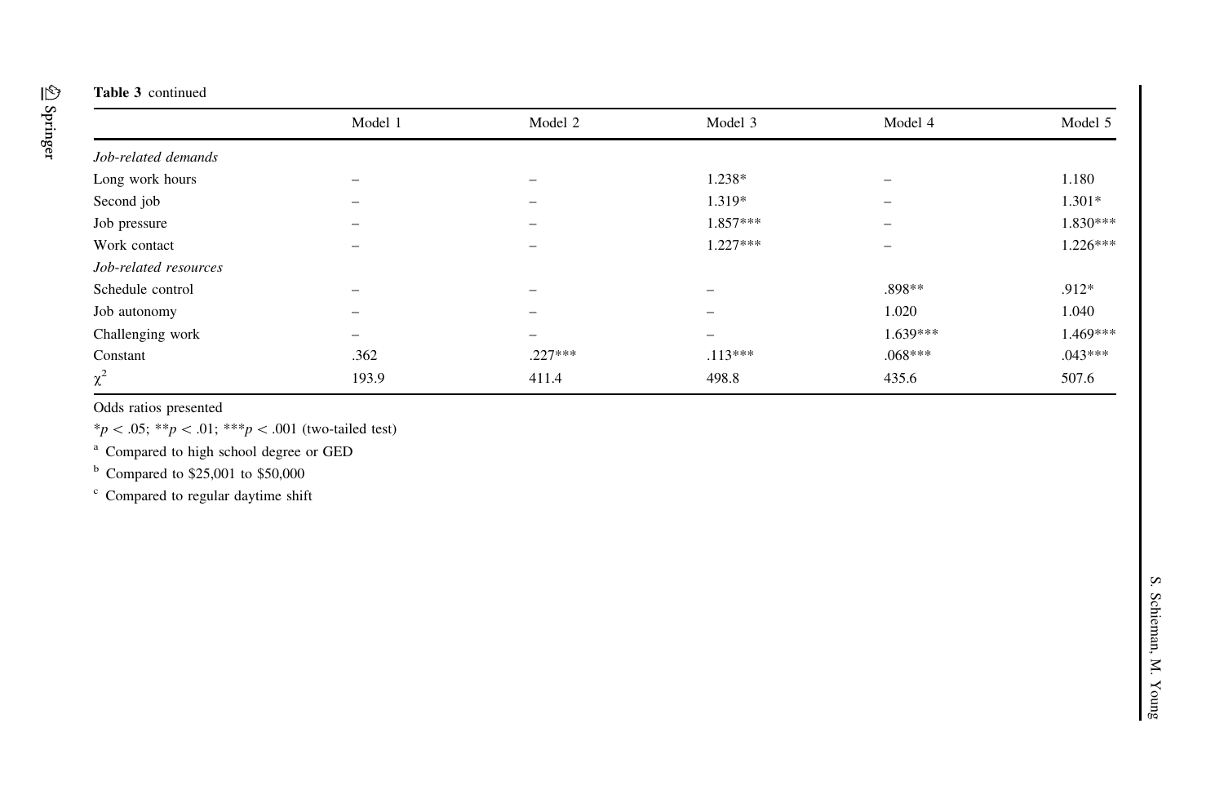### Table 3 continued

|                       | Model 1                  | Model 2                  | Model 3         | Model 4    | Model 5    |  |
|-----------------------|--------------------------|--------------------------|-----------------|------------|------------|--|
| Job-related demands   |                          |                          |                 |            |            |  |
| Long work hours       |                          |                          | 1.238*          | -          | 1.180      |  |
| Second job            | $\overline{\phantom{m}}$ |                          | 1.319*          | -          | $1.301*$   |  |
| Job pressure          | $\overline{\phantom{m}}$ |                          | $1.857***$      |            | 1.830***   |  |
| Work contact          |                          |                          | $1.227***$      | -          | $1.226***$ |  |
| Job-related resources |                          |                          |                 |            |            |  |
| Schedule control      |                          |                          | $\qquad \qquad$ | .898**     | $.912*$    |  |
| Job autonomy          | $\overline{\phantom{m}}$ |                          |                 | 1.020      | 1.040      |  |
| Challenging work      | $\qquad \qquad$          | $\overline{\phantom{0}}$ |                 | $1.639***$ | $1.469***$ |  |
| Constant              | .362                     | $.227***$                | $.113***$       | $.068***$  | $.043***$  |  |
| $\chi^2$              | 193.9                    | 411.4                    | 498.8           | 435.6      | 507.6      |  |

Odds ratios presented

 $*p$  < .05;  $**p$  < .01;  $***p$  < .001 (two-tailed test)

<sup>a</sup> Compared to high school degree or GED

 $b$  Compared to \$25,001 to \$50,000

<sup>c</sup> Compared to regular daytime shift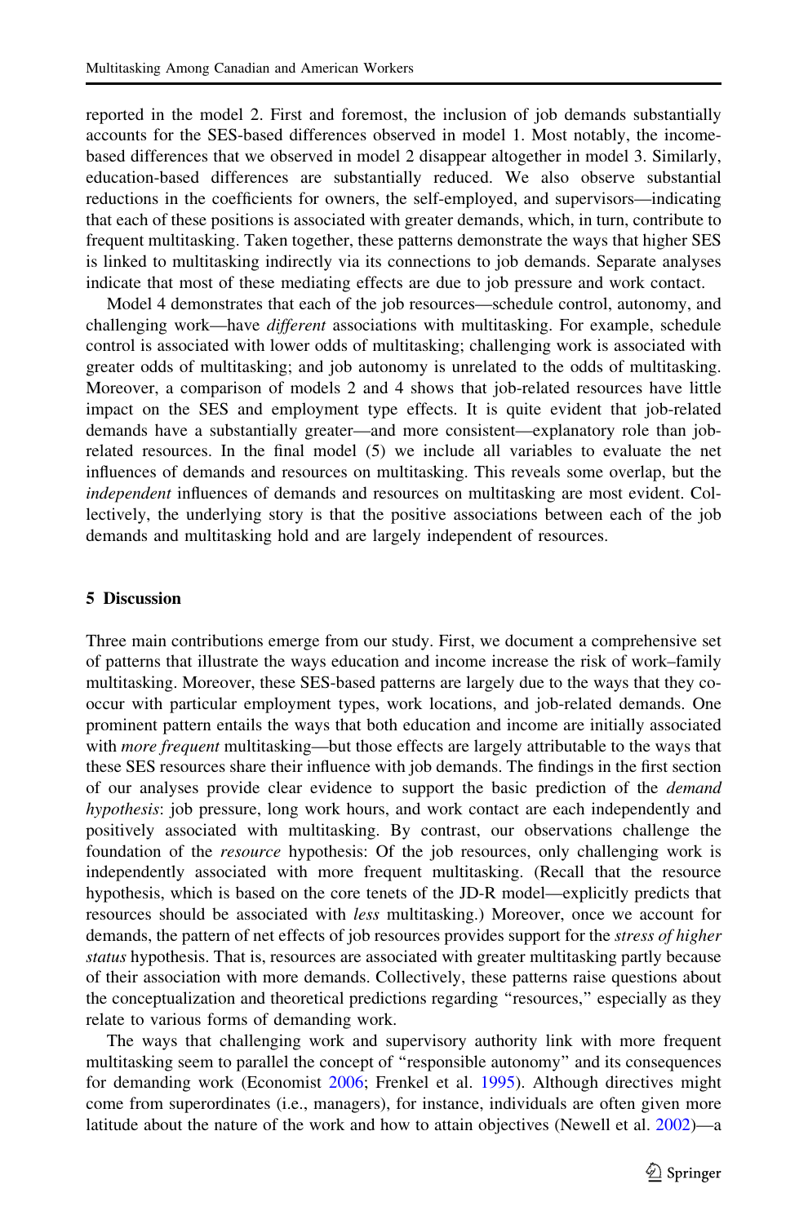reported in the model 2. First and foremost, the inclusion of job demands substantially accounts for the SES-based differences observed in model 1. Most notably, the incomebased differences that we observed in model 2 disappear altogether in model 3. Similarly, education-based differences are substantially reduced. We also observe substantial reductions in the coefficients for owners, the self-employed, and supervisors—indicating that each of these positions is associated with greater demands, which, in turn, contribute to frequent multitasking. Taken together, these patterns demonstrate the ways that higher SES is linked to multitasking indirectly via its connections to job demands. Separate analyses indicate that most of these mediating effects are due to job pressure and work contact.

Model 4 demonstrates that each of the job resources—schedule control, autonomy, and challenging work—have *different* associations with multitasking. For example, schedule control is associated with lower odds of multitasking; challenging work is associated with greater odds of multitasking; and job autonomy is unrelated to the odds of multitasking. Moreover, a comparison of models 2 and 4 shows that job-related resources have little impact on the SES and employment type effects. It is quite evident that job-related demands have a substantially greater—and more consistent—explanatory role than jobrelated resources. In the final model (5) we include all variables to evaluate the net influences of demands and resources on multitasking. This reveals some overlap, but the independent influences of demands and resources on multitasking are most evident. Collectively, the underlying story is that the positive associations between each of the job demands and multitasking hold and are largely independent of resources.

### 5 Discussion

Three main contributions emerge from our study. First, we document a comprehensive set of patterns that illustrate the ways education and income increase the risk of work–family multitasking. Moreover, these SES-based patterns are largely due to the ways that they cooccur with particular employment types, work locations, and job-related demands. One prominent pattern entails the ways that both education and income are initially associated with *more frequent* multitasking—but those effects are largely attributable to the ways that these SES resources share their influence with job demands. The findings in the first section of our analyses provide clear evidence to support the basic prediction of the *demand* hypothesis: job pressure, long work hours, and work contact are each independently and positively associated with multitasking. By contrast, our observations challenge the foundation of the resource hypothesis: Of the job resources, only challenging work is independently associated with more frequent multitasking. (Recall that the resource hypothesis, which is based on the core tenets of the JD-R model—explicitly predicts that resources should be associated with *less* multitasking.) Moreover, once we account for demands, the pattern of net effects of job resources provides support for the *stress of higher* status hypothesis. That is, resources are associated with greater multitasking partly because of their association with more demands. Collectively, these patterns raise questions about the conceptualization and theoretical predictions regarding ''resources,'' especially as they relate to various forms of demanding work.

The ways that challenging work and supervisory authority link with more frequent multitasking seem to parallel the concept of ''responsible autonomy'' and its consequences for demanding work (Economist [2006;](#page-24-0) Frenkel et al. [1995](#page-24-0)). Although directives might come from superordinates (i.e., managers), for instance, individuals are often given more latitude about the nature of the work and how to attain objectives (Newell et al. [2002\)](#page-26-0)—a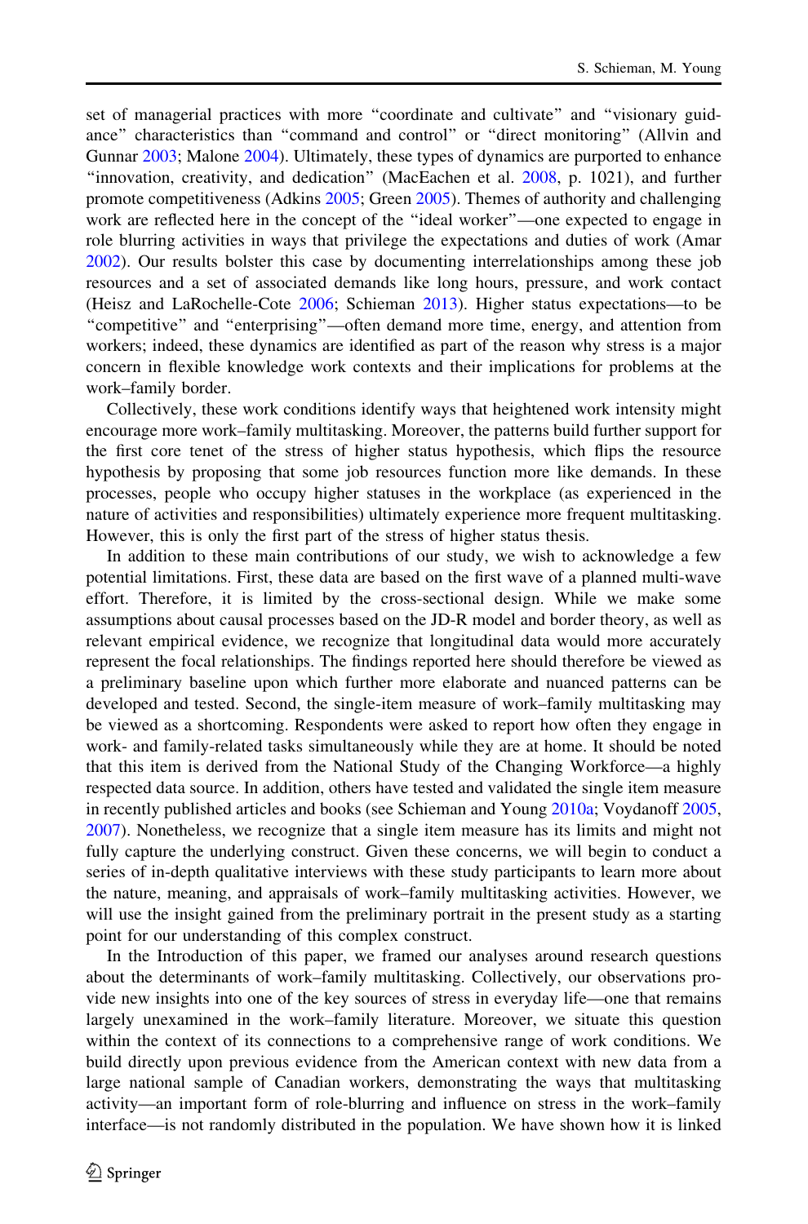set of managerial practices with more "coordinate and cultivate" and "visionary guidance'' characteristics than ''command and control'' or ''direct monitoring'' (Allvin and Gunnar [2003](#page-23-0); Malone [2004\)](#page-25-0). Ultimately, these types of dynamics are purported to enhance "innovation, creativity, and dedication" (MacEachen et al. [2008](#page-25-0), p. 1021), and further promote competitiveness (Adkins [2005;](#page-23-0) Green [2005](#page-24-0)). Themes of authority and challenging work are reflected here in the concept of the ''ideal worker''—one expected to engage in role blurring activities in ways that privilege the expectations and duties of work (Amar [2002\)](#page-23-0). Our results bolster this case by documenting interrelationships among these job resources and a set of associated demands like long hours, pressure, and work contact (Heisz and LaRochelle-Cote [2006;](#page-25-0) Schieman [2013](#page-26-0)). Higher status expectations—to be ''competitive'' and ''enterprising''—often demand more time, energy, and attention from workers; indeed, these dynamics are identified as part of the reason why stress is a major concern in flexible knowledge work contexts and their implications for problems at the work–family border.

Collectively, these work conditions identify ways that heightened work intensity might encourage more work–family multitasking. Moreover, the patterns build further support for the first core tenet of the stress of higher status hypothesis, which flips the resource hypothesis by proposing that some job resources function more like demands. In these processes, people who occupy higher statuses in the workplace (as experienced in the nature of activities and responsibilities) ultimately experience more frequent multitasking. However, this is only the first part of the stress of higher status thesis.

In addition to these main contributions of our study, we wish to acknowledge a few potential limitations. First, these data are based on the first wave of a planned multi-wave effort. Therefore, it is limited by the cross-sectional design. While we make some assumptions about causal processes based on the JD-R model and border theory, as well as relevant empirical evidence, we recognize that longitudinal data would more accurately represent the focal relationships. The findings reported here should therefore be viewed as a preliminary baseline upon which further more elaborate and nuanced patterns can be developed and tested. Second, the single-item measure of work–family multitasking may be viewed as a shortcoming. Respondents were asked to report how often they engage in work- and family-related tasks simultaneously while they are at home. It should be noted that this item is derived from the National Study of the Changing Workforce—a highly respected data source. In addition, others have tested and validated the single item measure in recently published articles and books (see Schieman and Young [2010a](#page-27-0); Voydanoff [2005](#page-27-0), [2007\)](#page-27-0). Nonetheless, we recognize that a single item measure has its limits and might not fully capture the underlying construct. Given these concerns, we will begin to conduct a series of in-depth qualitative interviews with these study participants to learn more about the nature, meaning, and appraisals of work–family multitasking activities. However, we will use the insight gained from the preliminary portrait in the present study as a starting point for our understanding of this complex construct.

In the Introduction of this paper, we framed our analyses around research questions about the determinants of work–family multitasking. Collectively, our observations provide new insights into one of the key sources of stress in everyday life—one that remains largely unexamined in the work–family literature. Moreover, we situate this question within the context of its connections to a comprehensive range of work conditions. We build directly upon previous evidence from the American context with new data from a large national sample of Canadian workers, demonstrating the ways that multitasking activity—an important form of role-blurring and influence on stress in the work–family interface—is not randomly distributed in the population. We have shown how it is linked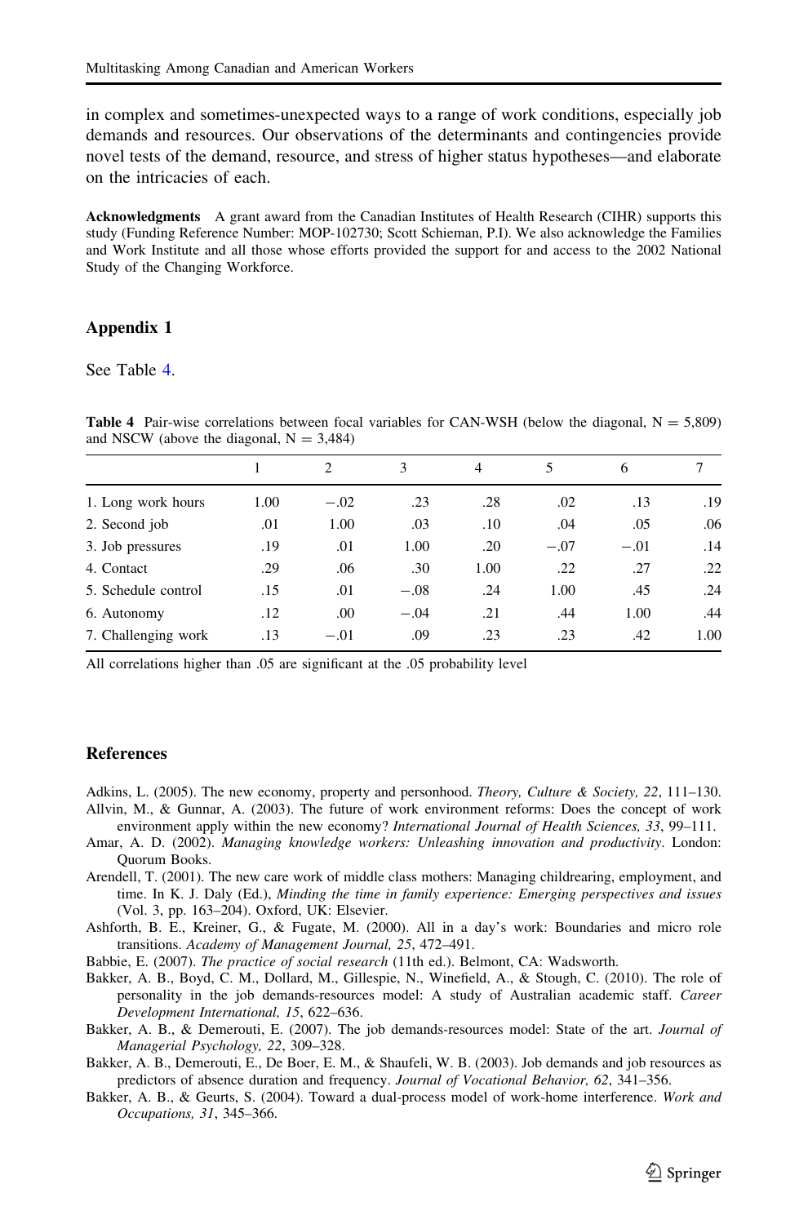<span id="page-23-0"></span>in complex and sometimes-unexpected ways to a range of work conditions, especially job demands and resources. Our observations of the determinants and contingencies provide novel tests of the demand, resource, and stress of higher status hypotheses—and elaborate on the intricacies of each.

Acknowledgments A grant award from the Canadian Institutes of Health Research (CIHR) supports this study (Funding Reference Number: MOP-102730; Scott Schieman, P.I). We also acknowledge the Families and Work Institute and all those whose efforts provided the support for and access to the 2002 National Study of the Changing Workforce.

### Appendix 1

See Table 4.

**Table 4** Pair-wise correlations between focal variables for CAN-WSH (below the diagonal,  $N = 5,809$ ) and NSCW (above the diagonal,  $N = 3,484$ )

|                     |      | $\mathcal{L}$ | 3      | 4    | 5      | 6      |      |
|---------------------|------|---------------|--------|------|--------|--------|------|
| 1. Long work hours  | 1.00 | $-.02$        | .23    | .28  | .02    | .13    | .19  |
| 2. Second job       | .01  | 1.00          | .03    | .10  | .04    | .05    | .06  |
| 3. Job pressures    | .19  | .01           | 1.00   | .20  | $-.07$ | $-.01$ | .14  |
| 4. Contact          | .29  | .06           | .30    | 1.00 | .22    | .27    | .22  |
| 5. Schedule control | .15  | .01           | $-.08$ | .24  | 1.00   | .45    | .24  |
| 6. Autonomy         | .12  | .00           | $-.04$ | .21  | .44    | 1.00   | .44  |
| 7. Challenging work | .13  | $-.01$        | .09    | .23  | .23    | .42    | 1.00 |
|                     |      |               |        |      |        |        |      |

All correlations higher than .05 are significant at the .05 probability level

### **References**

- Adkins, L. (2005). The new economy, property and personhood. Theory, Culture & Society, 22, 111-130. Allvin, M., & Gunnar, A. (2003). The future of work environment reforms: Does the concept of work
- environment apply within the new economy? International Journal of Health Sciences, 33, 99-111. Amar, A. D. (2002). Managing knowledge workers: Unleashing innovation and productivity. London:
- Quorum Books.
- Arendell, T. (2001). The new care work of middle class mothers: Managing childrearing, employment, and time. In K. J. Daly (Ed.), Minding the time in family experience: Emerging perspectives and issues (Vol. 3, pp. 163–204). Oxford, UK: Elsevier.

Ashforth, B. E., Kreiner, G., & Fugate, M. (2000). All in a day's work: Boundaries and micro role transitions. Academy of Management Journal, 25, 472–491.

Babbie, E. (2007). The practice of social research (11th ed.). Belmont, CA: Wadsworth.

- Bakker, A. B., Boyd, C. M., Dollard, M., Gillespie, N., Winefield, A., & Stough, C. (2010). The role of personality in the job demands-resources model: A study of Australian academic staff. Career Development International, 15, 622–636.
- Bakker, A. B., & Demerouti, E. (2007). The job demands-resources model: State of the art. Journal of Managerial Psychology, 22, 309–328.

Bakker, A. B., Demerouti, E., De Boer, E. M., & Shaufeli, W. B. (2003). Job demands and job resources as predictors of absence duration and frequency. Journal of Vocational Behavior, 62, 341–356.

Bakker, A. B., & Geurts, S. (2004). Toward a dual-process model of work-home interference. Work and Occupations, 31, 345–366.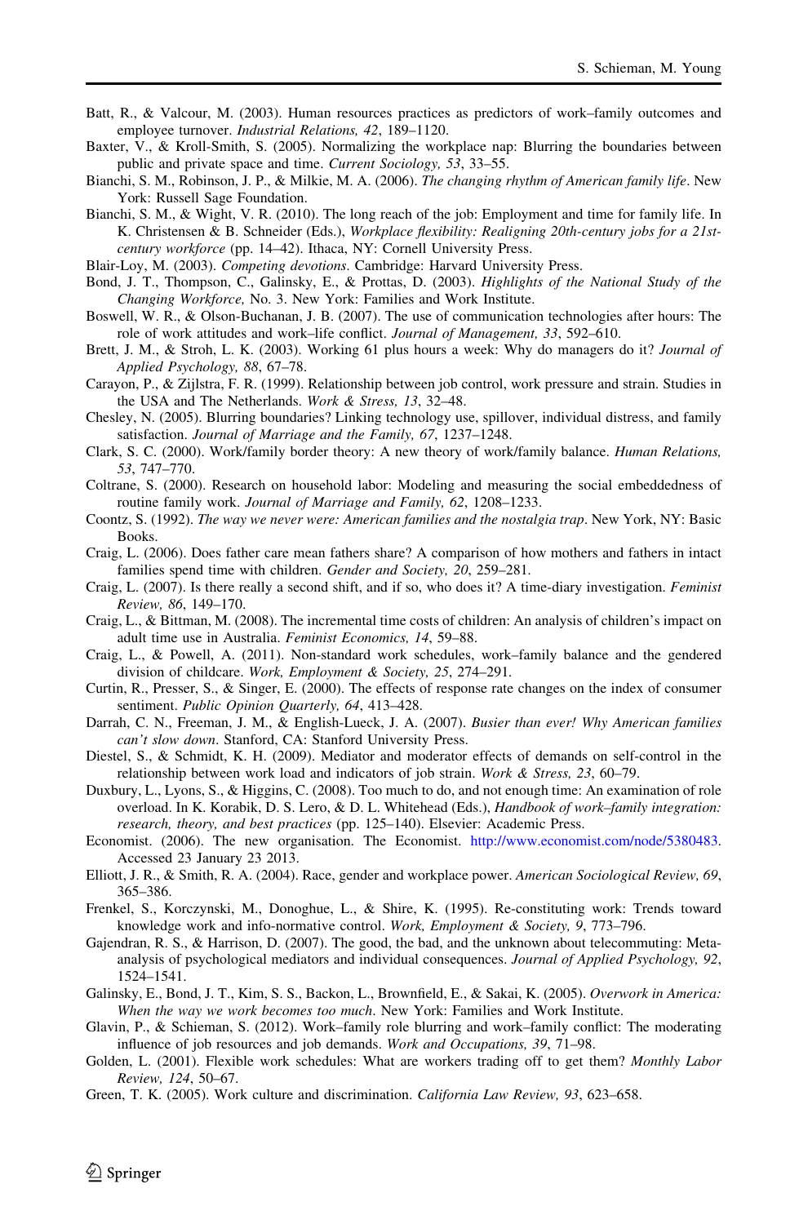<span id="page-24-0"></span>Batt, R., & Valcour, M. (2003). Human resources practices as predictors of work–family outcomes and employee turnover. Industrial Relations, 42, 189–1120.

- Baxter, V., & Kroll-Smith, S. (2005). Normalizing the workplace nap: Blurring the boundaries between public and private space and time. Current Sociology, 53, 33–55.
- Bianchi, S. M., Robinson, J. P., & Milkie, M. A. (2006). The changing rhythm of American family life. New York: Russell Sage Foundation.

Bianchi, S. M., & Wight, V. R. (2010). The long reach of the job: Employment and time for family life. In K. Christensen & B. Schneider (Eds.), Workplace flexibility: Realigning 20th-century jobs for a 21stcentury workforce (pp. 14–42). Ithaca, NY: Cornell University Press.

Blair-Loy, M. (2003). Competing devotions. Cambridge: Harvard University Press.

- Bond, J. T., Thompson, C., Galinsky, E., & Prottas, D. (2003). Highlights of the National Study of the Changing Workforce, No. 3. New York: Families and Work Institute.
- Boswell, W. R., & Olson-Buchanan, J. B. (2007). The use of communication technologies after hours: The role of work attitudes and work–life conflict. Journal of Management, 33, 592–610.
- Brett, J. M., & Stroh, L. K. (2003). Working 61 plus hours a week: Why do managers do it? Journal of Applied Psychology, 88, 67–78.
- Carayon, P., & Zijlstra, F. R. (1999). Relationship between job control, work pressure and strain. Studies in the USA and The Netherlands. Work & Stress, 13, 32–48.
- Chesley, N. (2005). Blurring boundaries? Linking technology use, spillover, individual distress, and family satisfaction. Journal of Marriage and the Family, 67, 1237–1248.
- Clark, S. C. (2000). Work/family border theory: A new theory of work/family balance. Human Relations, 53, 747–770.
- Coltrane, S. (2000). Research on household labor: Modeling and measuring the social embeddedness of routine family work. Journal of Marriage and Family, 62, 1208–1233.
- Coontz, S. (1992). The way we never were: American families and the nostalgia trap. New York, NY: Basic Books.
- Craig, L. (2006). Does father care mean fathers share? A comparison of how mothers and fathers in intact families spend time with children. Gender and Society, 20, 259–281.
- Craig, L. (2007). Is there really a second shift, and if so, who does it? A time-diary investigation. Feminist Review, 86, 149–170.
- Craig, L., & Bittman, M. (2008). The incremental time costs of children: An analysis of children's impact on adult time use in Australia. Feminist Economics, 14, 59–88.
- Craig, L., & Powell, A. (2011). Non-standard work schedules, work–family balance and the gendered division of childcare. Work, Employment & Society, 25, 274–291.
- Curtin, R., Presser, S., & Singer, E. (2000). The effects of response rate changes on the index of consumer sentiment. Public Opinion Quarterly, 64, 413–428.
- Darrah, C. N., Freeman, J. M., & English-Lueck, J. A. (2007). Busier than ever! Why American families can't slow down. Stanford, CA: Stanford University Press.
- Diestel, S., & Schmidt, K. H. (2009). Mediator and moderator effects of demands on self-control in the relationship between work load and indicators of job strain. Work & Stress, 23, 60–79.
- Duxbury, L., Lyons, S., & Higgins, C. (2008). Too much to do, and not enough time: An examination of role overload. In K. Korabik, D. S. Lero, & D. L. Whitehead (Eds.), Handbook of work–family integration: research, theory, and best practices (pp. 125–140). Elsevier: Academic Press.
- Economist. (2006). The new organisation. The Economist. [http://www.economist.com/node/5380483.](http://www.economist.com/node/5380483) Accessed 23 January 23 2013.
- Elliott, J. R., & Smith, R. A. (2004). Race, gender and workplace power. American Sociological Review, 69, 365–386.
- Frenkel, S., Korczynski, M., Donoghue, L., & Shire, K. (1995). Re-constituting work: Trends toward knowledge work and info-normative control. Work, Employment & Society, 9, 773–796.
- Gajendran, R. S., & Harrison, D. (2007). The good, the bad, and the unknown about telecommuting: Metaanalysis of psychological mediators and individual consequences. Journal of Applied Psychology, 92, 1524–1541.
- Galinsky, E., Bond, J. T., Kim, S. S., Backon, L., Brownfield, E., & Sakai, K. (2005). Overwork in America: When the way we work becomes too much. New York: Families and Work Institute.
- Glavin, P., & Schieman, S. (2012). Work–family role blurring and work–family conflict: The moderating influence of job resources and job demands. Work and Occupations, 39, 71–98.
- Golden, L. (2001). Flexible work schedules: What are workers trading off to get them? Monthly Labor Review, 124, 50–67.
- Green, T. K. (2005). Work culture and discrimination. California Law Review, 93, 623–658.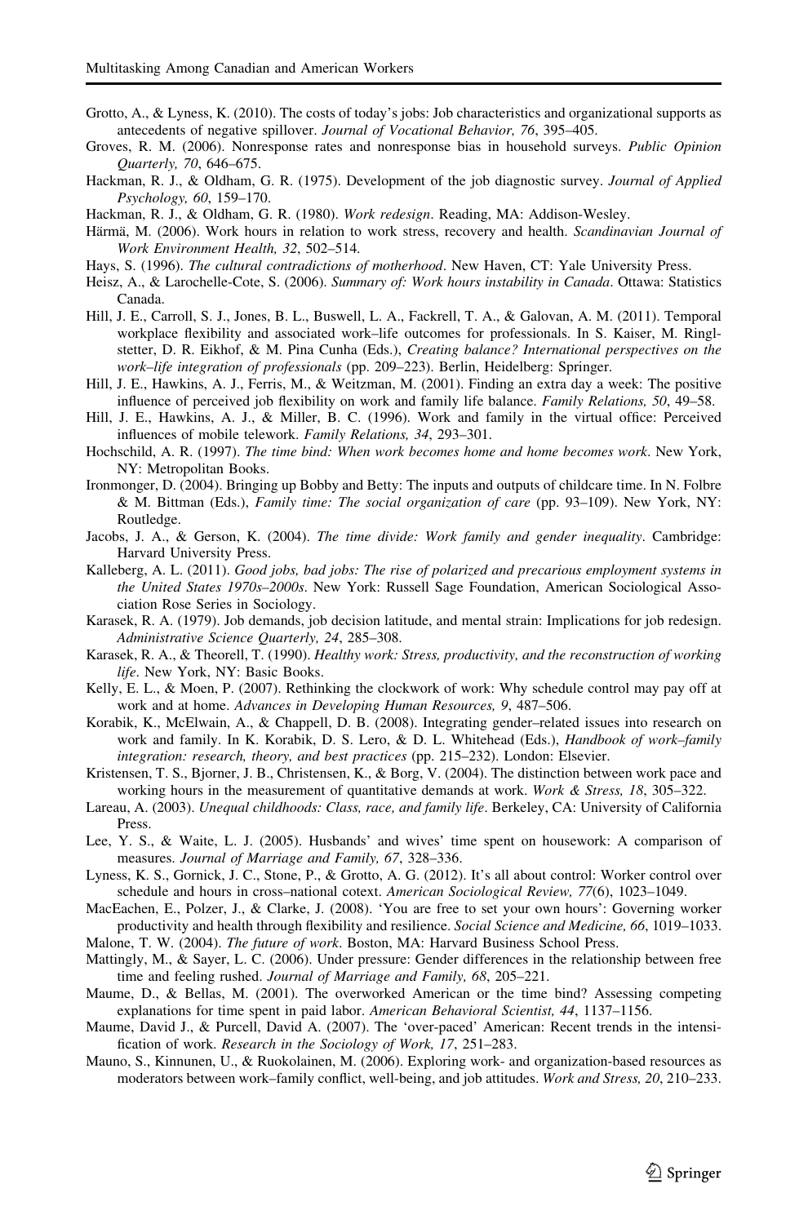- <span id="page-25-0"></span>Grotto, A., & Lyness, K. (2010). The costs of today's jobs: Job characteristics and organizational supports as antecedents of negative spillover. Journal of Vocational Behavior, 76, 395–405.
- Groves, R. M. (2006). Nonresponse rates and nonresponse bias in household surveys. Public Opinion Quarterly, 70, 646–675.
- Hackman, R. J., & Oldham, G. R. (1975). Development of the job diagnostic survey. Journal of Applied Psychology, 60, 159–170.
- Hackman, R. J., & Oldham, G. R. (1980). Work redesign. Reading, MA: Addison-Wesley.
- Härmä, M. (2006). Work hours in relation to work stress, recovery and health. Scandinavian Journal of Work Environment Health, 32, 502–514.
- Hays, S. (1996). The cultural contradictions of motherhood. New Haven, CT: Yale University Press.
- Heisz, A., & Larochelle-Cote, S. (2006). Summary of: Work hours instability in Canada. Ottawa: Statistics Canada.
- Hill, J. E., Carroll, S. J., Jones, B. L., Buswell, L. A., Fackrell, T. A., & Galovan, A. M. (2011). Temporal workplace flexibility and associated work–life outcomes for professionals. In S. Kaiser, M. Ringlstetter, D. R. Eikhof, & M. Pina Cunha (Eds.), Creating balance? International perspectives on the work–life integration of professionals (pp. 209–223). Berlin, Heidelberg: Springer.
- Hill, J. E., Hawkins, A. J., Ferris, M., & Weitzman, M. (2001). Finding an extra day a week: The positive influence of perceived job flexibility on work and family life balance. Family Relations, 50, 49–58.
- Hill, J. E., Hawkins, A. J., & Miller, B. C. (1996). Work and family in the virtual office: Perceived influences of mobile telework. Family Relations, 34, 293–301.
- Hochschild, A. R. (1997). The time bind: When work becomes home and home becomes work. New York, NY: Metropolitan Books.
- Ironmonger, D. (2004). Bringing up Bobby and Betty: The inputs and outputs of childcare time. In N. Folbre & M. Bittman (Eds.), Family time: The social organization of care (pp. 93–109). New York, NY: Routledge.
- Jacobs, J. A., & Gerson, K. (2004). The time divide: Work family and gender inequality. Cambridge: Harvard University Press.
- Kalleberg, A. L. (2011). Good jobs, bad jobs: The rise of polarized and precarious employment systems in the United States 1970s–2000s. New York: Russell Sage Foundation, American Sociological Association Rose Series in Sociology.
- Karasek, R. A. (1979). Job demands, job decision latitude, and mental strain: Implications for job redesign. Administrative Science Quarterly, 24, 285–308.
- Karasek, R. A., & Theorell, T. (1990). Healthy work: Stress, productivity, and the reconstruction of working life. New York, NY: Basic Books.
- Kelly, E. L., & Moen, P. (2007). Rethinking the clockwork of work: Why schedule control may pay off at work and at home. Advances in Developing Human Resources, 9, 487–506.
- Korabik, K., McElwain, A., & Chappell, D. B. (2008). Integrating gender–related issues into research on work and family. In K. Korabik, D. S. Lero, & D. L. Whitehead (Eds.), Handbook of work-family integration: research, theory, and best practices (pp. 215–232). London: Elsevier.
- Kristensen, T. S., Bjorner, J. B., Christensen, K., & Borg, V. (2004). The distinction between work pace and working hours in the measurement of quantitative demands at work. Work & Stress, 18, 305–322.
- Lareau, A. (2003). Unequal childhoods: Class, race, and family life. Berkeley, CA: University of California Press.
- Lee, Y. S., & Waite, L. J. (2005). Husbands' and wives' time spent on housework: A comparison of measures. Journal of Marriage and Family, 67, 328–336.
- Lyness, K. S., Gornick, J. C., Stone, P., & Grotto, A. G. (2012). It's all about control: Worker control over schedule and hours in cross–national cotext. American Sociological Review, 77(6), 1023–1049.
- MacEachen, E., Polzer, J., & Clarke, J. (2008). 'You are free to set your own hours': Governing worker productivity and health through flexibility and resilience. Social Science and Medicine, 66, 1019–1033.
- Malone, T. W. (2004). The future of work. Boston, MA: Harvard Business School Press.
- Mattingly, M., & Sayer, L. C. (2006). Under pressure: Gender differences in the relationship between free time and feeling rushed. Journal of Marriage and Family, 68, 205–221.
- Maume, D., & Bellas, M. (2001). The overworked American or the time bind? Assessing competing explanations for time spent in paid labor. American Behavioral Scientist, 44, 1137–1156.
- Maume, David J., & Purcell, David A. (2007). The 'over-paced' American: Recent trends in the intensification of work. Research in the Sociology of Work, 17, 251–283.
- Mauno, S., Kinnunen, U., & Ruokolainen, M. (2006). Exploring work- and organization-based resources as moderators between work–family conflict, well-being, and job attitudes. Work and Stress, 20, 210–233.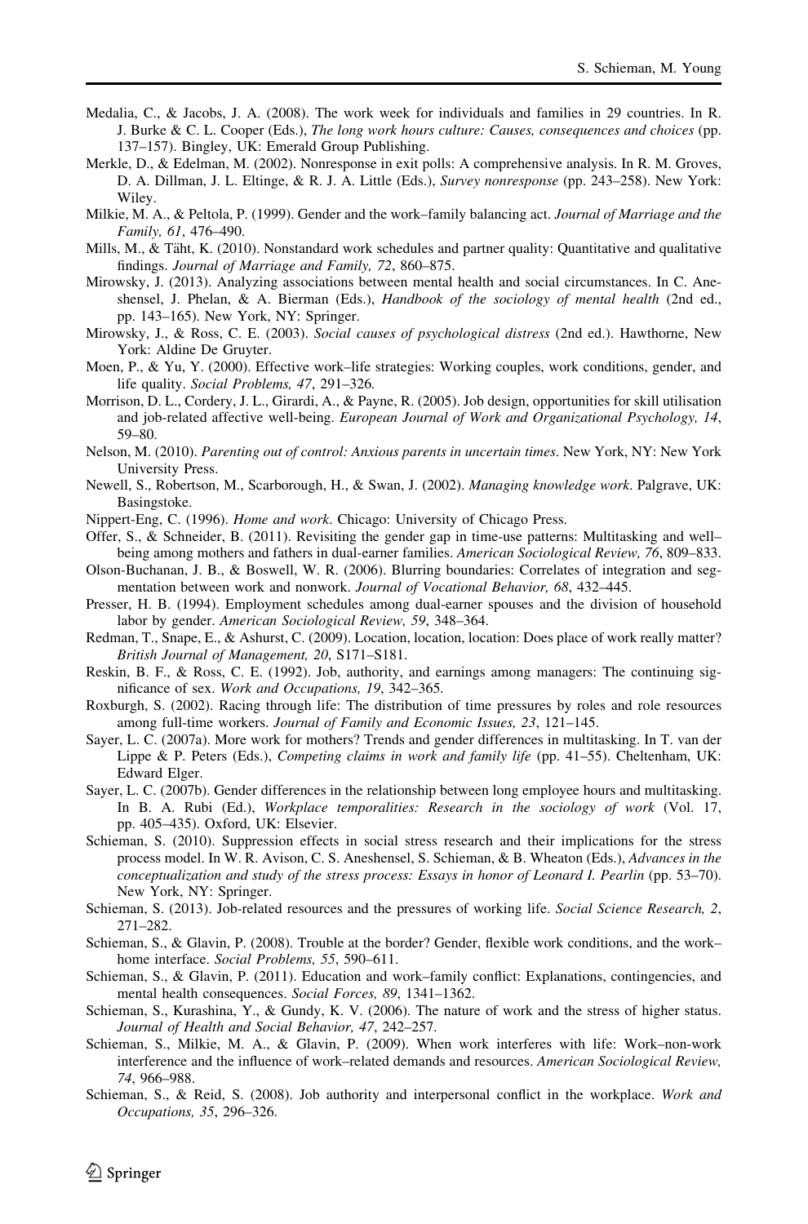- <span id="page-26-0"></span>Medalia, C., & Jacobs, J. A. (2008). The work week for individuals and families in 29 countries. In R. J. Burke & C. L. Cooper (Eds.), The long work hours culture: Causes, consequences and choices (pp. 137–157). Bingley, UK: Emerald Group Publishing.
- Merkle, D., & Edelman, M. (2002). Nonresponse in exit polls: A comprehensive analysis. In R. M. Groves, D. A. Dillman, J. L. Eltinge, & R. J. A. Little (Eds.), Survey nonresponse (pp. 243–258). New York: Wiley.
- Milkie, M. A., & Peltola, P. (1999). Gender and the work–family balancing act. Journal of Marriage and the Family, 61, 476–490.
- Mills, M., & Täht, K. (2010). Nonstandard work schedules and partner quality: Quantitative and qualitative findings. Journal of Marriage and Family, 72, 860–875.
- Mirowsky, J. (2013). Analyzing associations between mental health and social circumstances. In C. Aneshensel, J. Phelan, & A. Bierman (Eds.), *Handbook of the sociology of mental health* (2nd ed., pp. 143–165). New York, NY: Springer.
- Mirowsky, J., & Ross, C. E. (2003). Social causes of psychological distress (2nd ed.). Hawthorne, New York: Aldine De Gruyter.
- Moen, P., & Yu, Y. (2000). Effective work–life strategies: Working couples, work conditions, gender, and life quality. Social Problems, 47, 291–326.
- Morrison, D. L., Cordery, J. L., Girardi, A., & Payne, R. (2005). Job design, opportunities for skill utilisation and job-related affective well-being. European Journal of Work and Organizational Psychology, 14, 59–80.
- Nelson, M. (2010). Parenting out of control: Anxious parents in uncertain times. New York, NY: New York University Press.
- Newell, S., Robertson, M., Scarborough, H., & Swan, J. (2002). Managing knowledge work. Palgrave, UK: Basingstoke.
- Nippert-Eng, C. (1996). Home and work. Chicago: University of Chicago Press.
- Offer, S., & Schneider, B. (2011). Revisiting the gender gap in time-use patterns: Multitasking and well– being among mothers and fathers in dual-earner families. American Sociological Review, 76, 809–833.
- Olson-Buchanan, J. B., & Boswell, W. R. (2006). Blurring boundaries: Correlates of integration and segmentation between work and nonwork. Journal of Vocational Behavior, 68, 432–445.
- Presser, H. B. (1994). Employment schedules among dual-earner spouses and the division of household labor by gender. American Sociological Review, 59, 348–364.
- Redman, T., Snape, E., & Ashurst, C. (2009). Location, location, location: Does place of work really matter? British Journal of Management, 20, S171–S181.
- Reskin, B. F., & Ross, C. E. (1992). Job, authority, and earnings among managers: The continuing significance of sex. Work and Occupations, 19, 342–365.
- Roxburgh, S. (2002). Racing through life: The distribution of time pressures by roles and role resources among full-time workers. Journal of Family and Economic Issues, 23, 121–145.
- Sayer, L. C. (2007a). More work for mothers? Trends and gender differences in multitasking. In T. van der Lippe & P. Peters (Eds.), Competing claims in work and family life (pp. 41–55). Cheltenham, UK: Edward Elger.
- Sayer, L. C. (2007b). Gender differences in the relationship between long employee hours and multitasking. In B. A. Rubi (Ed.), *Workplace temporalities: Research in the sociology of work* (Vol. 17, pp. 405–435). Oxford, UK: Elsevier.
- Schieman, S. (2010). Suppression effects in social stress research and their implications for the stress process model. In W. R. Avison, C. S. Aneshensel, S. Schieman, & B. Wheaton (Eds.), Advances in the conceptualization and study of the stress process: Essays in honor of Leonard I. Pearlin (pp. 53–70). New York, NY: Springer.
- Schieman, S. (2013). Job-related resources and the pressures of working life. Social Science Research, 2, 271–282.
- Schieman, S., & Glavin, P. (2008). Trouble at the border? Gender, flexible work conditions, and the work– home interface. Social Problems, 55, 590-611.
- Schieman, S., & Glavin, P. (2011). Education and work–family conflict: Explanations, contingencies, and mental health consequences. Social Forces, 89, 1341–1362.
- Schieman, S., Kurashina, Y., & Gundy, K. V. (2006). The nature of work and the stress of higher status. Journal of Health and Social Behavior, 47, 242–257.
- Schieman, S., Milkie, M. A., & Glavin, P. (2009). When work interferes with life: Work–non-work interference and the influence of work–related demands and resources. American Sociological Review, 74, 966–988.
- Schieman, S., & Reid, S. (2008). Job authority and interpersonal conflict in the workplace. Work and Occupations, 35, 296–326.